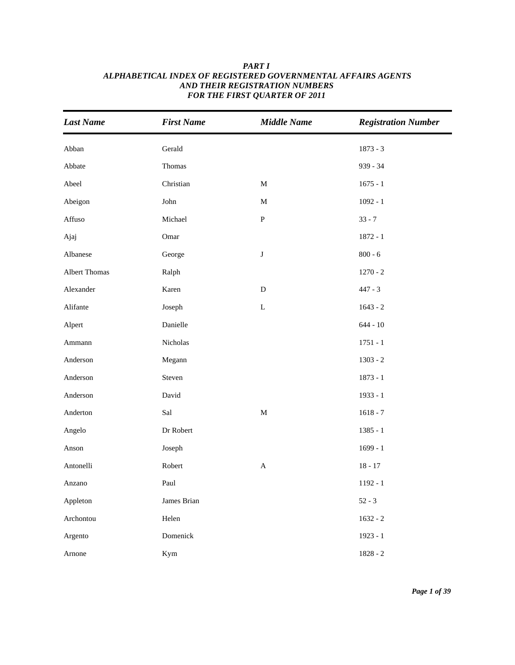| <b>Last Name</b>     | <b>First Name</b> | <b>Middle Name</b> | <b>Registration Number</b> |
|----------------------|-------------------|--------------------|----------------------------|
| Abban                | Gerald            |                    | $1873 - 3$                 |
| Abbate               | Thomas            |                    | 939 - 34                   |
| Abeel                | Christian         | $\mathbf M$        | $1675 - 1$                 |
| Abeigon              | ${\rm John}$      | $\mathbf M$        | $1092 - 1$                 |
| Affuso               | Michael           | ${\bf P}$          | $33 - 7$                   |
| Ajaj                 | Omar              |                    | $1872 - 1$                 |
| Albanese             | George            | $\bf J$            | $800 - 6$                  |
| <b>Albert Thomas</b> | Ralph             |                    | $1270 - 2$                 |
| Alexander            | Karen             | $\mathbf D$        | $447 - 3$                  |
| Alifante             | Joseph            | $\mathbf L$        | $1643 - 2$                 |
| Alpert               | Danielle          |                    | $644 - 10$                 |
| Ammann               | Nicholas          |                    | $1751 - 1$                 |
| Anderson             | Megann            |                    | $1303 - 2$                 |
| Anderson             | Steven            |                    | $1873 - 1$                 |
| Anderson             | David             |                    | 1933 - 1                   |
| Anderton             | Sal               | $\mathbf M$        | $1618 - 7$                 |
| Angelo               | Dr Robert         |                    | $1385 - 1$                 |
| Anson                | Joseph            |                    | $1699 - 1$                 |
| Antonelli            | Robert            | $\boldsymbol{A}$   | $18 - 17$                  |
| Anzano               | Paul              |                    | $1192 - 1$                 |
| Appleton             | James Brian       |                    | $52 - 3$                   |
| Archontou            | Helen             |                    | $1632 - 2$                 |
| Argento              | Domenick          |                    | $1923 - 1$                 |
| Arnone               | Kym               |                    | $1828 - 2$                 |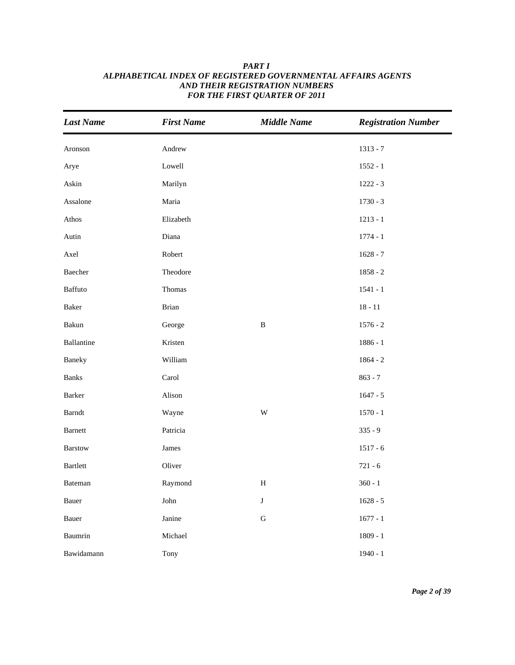| <b>Last Name</b>                          | <b>First Name</b> | <b>Middle Name</b>      | <b>Registration Number</b> |
|-------------------------------------------|-------------------|-------------------------|----------------------------|
| Aronson                                   | Andrew            |                         | $1313 - 7$                 |
| Arye                                      | Lowell            |                         | $1552 - 1$                 |
| Askin                                     | Marilyn           |                         | $1222 - 3$                 |
| Assalone                                  | Maria             |                         | $1730 - 3$                 |
| Athos                                     | Elizabeth         |                         | $1213 - 1$                 |
| Autin                                     | Diana             |                         | $1774 - 1$                 |
| Axel                                      | Robert            |                         | $1628 - 7$                 |
| Baecher                                   | Theodore          |                         | $1858 - 2$                 |
| Baffuto                                   | Thomas            |                         | $1541 - 1$                 |
| Baker                                     | Brian             |                         | $18 - 11$                  |
| Bakun                                     | George            | $\, {\bf B}$            | $1576 - 2$                 |
| <b>Ballantine</b>                         | Kristen           |                         | $1886 - 1$                 |
| Baneky                                    | William           |                         | $1864 - 2$                 |
| <b>Banks</b>                              | Carol             |                         | $863 - 7$                  |
| Barker                                    | Alison            |                         | $1647 - 5$                 |
| $\ensuremath{\mathsf{B}}\xspace$ and<br>t | Wayne             | $\ensuremath{\text{W}}$ | $1570 - 1$                 |
| Barnett                                   | Patricia          |                         | $335 - 9$                  |
| <b>Barstow</b>                            | James             |                         | $1517 - 6$                 |
| Bartlett                                  | Oliver            |                         | $721 - 6$                  |
| Bateman                                   | Raymond           | $\, {\rm H}$            | $360 - 1$                  |
| Bauer                                     | ${\rm John}$      | $\bf J$                 | $1628 - 5$                 |
| Bauer                                     | Janine            | ${\bf G}$               | $1677 - 1$                 |
| Baumrin                                   | Michael           |                         | $1809 - 1$                 |
| Bawidamann                                | Tony              |                         | $1940 - 1$                 |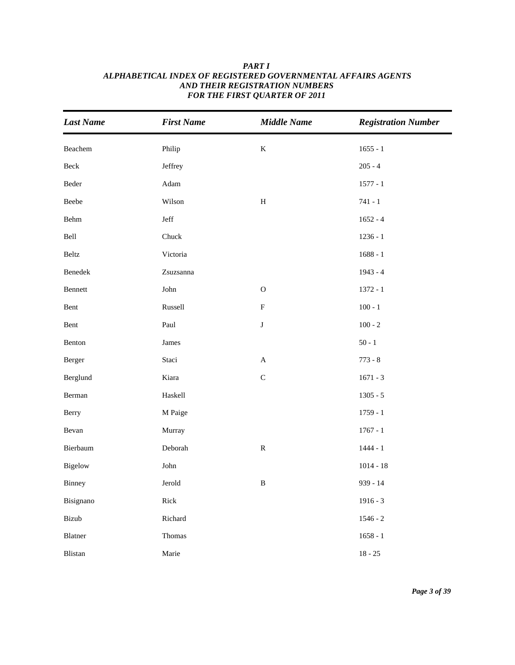| <b>Last Name</b> | <b>First Name</b>     | <b>Middle Name</b> | <b>Registration Number</b> |
|------------------|-----------------------|--------------------|----------------------------|
| Beachem          | Philip                | $\rm K$            | $1655 - 1$                 |
| $\mathrm{Beck}$  | Jeffrey               |                    | $205 - 4$                  |
| Beder            | $\operatorname{Adam}$ |                    | $1577 - 1$                 |
| Beebe            | Wilson                | $\, {\rm H}$       | $741 - 1$                  |
| Behm             | Jeff                  |                    | $1652 - 4$                 |
| Bell             | Chuck                 |                    | $1236 - 1$                 |
| Beltz            | Victoria              |                    | $1688 - 1$                 |
| Benedek          | Zsuzsanna             |                    | $1943 - 4$                 |
| Bennett          | John                  | ${\mathcal O}$     | $1372 - 1$                 |
| Bent             | Russell               | ${\bf F}$          | $100 - 1$                  |
| Bent             | Paul                  | $\bf J$            | $100 - 2$                  |
| Benton           | James                 |                    | $50 - 1$                   |
| Berger           | Staci                 | $\mathbf{A}$       | $773 - 8$                  |
| Berglund         | Kiara                 | $\mathsf C$        | $1671 - 3$                 |
| Berman           | Haskell               |                    | $1305 - 5$                 |
| Berry            | M Paige               |                    | $1759 - 1$                 |
| Bevan            | Murray                |                    | $1767 - 1$                 |
| Bierbaum         | Deborah               | ${\bf R}$          | $1444 - 1$                 |
| Bigelow          | ${\rm John}$          |                    | $1014 - 18$                |
| Binney           | Jerold                | B                  | 939 - 14                   |
| Bisignano        | Rick                  |                    | $1916 - 3$                 |
| Bizub            | Richard               |                    | $1546 - 2$                 |
| Blatner          | Thomas                |                    | $1658 - 1$                 |
| Blistan          | Marie                 |                    | $18 - 25$                  |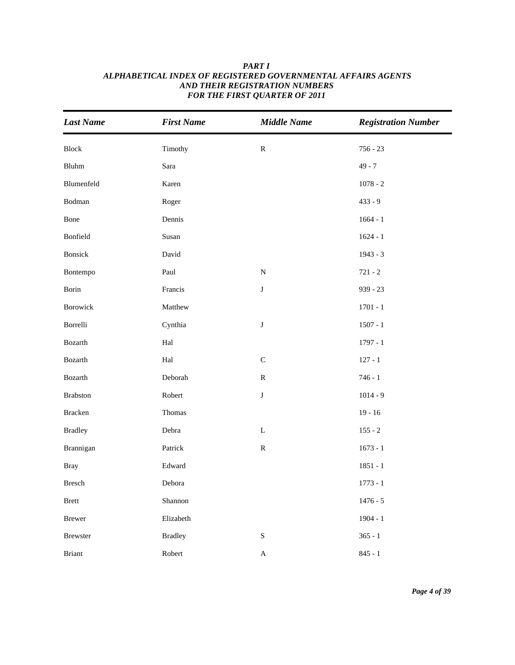| <b>Last Name</b> | <b>First Name</b>    | <b>Middle Name</b> | <b>Registration Number</b> |
|------------------|----------------------|--------------------|----------------------------|
| Block            | Timothy              | ${\bf R}$          | $756 - 23$                 |
| Bluhm            | Sara                 |                    | $49 - 7$                   |
| Blumenfeld       | Karen                |                    | $1078 - 2$                 |
| Bodman           | Roger                |                    | $433 - 9$                  |
| Bone             | Dennis               |                    | $1664 - 1$                 |
| Bonfield         | Susan                |                    | $1624 - 1$                 |
| Bonsick          | David                |                    | 1943 - 3                   |
| Bontempo         | Paul                 | ${\bf N}$          | $721 - 2$                  |
| Borin            | Francis              | $\bf J$            | $939 - 23$                 |
| Borowick         | Matthew              |                    | $1701 - 1$                 |
| Borrelli         | Cynthia              | $\bf J$            | $1507 - 1$                 |
| <b>Bozarth</b>   | $\operatorname{Hal}$ |                    | $1797 - 1$                 |
| Bozarth          | Hal                  | $\mathbf C$        | $127 - 1$                  |
| Bozarth          | Deborah              | ${\bf R}$          | $746 - 1$                  |
| <b>Brabston</b>  | Robert               | $\bf J$            | $1014 - 9$                 |
| Bracken          | Thomas               |                    | $19 - 16$                  |
| <b>Bradley</b>   | Debra                | $\mathbf L$        | $155 - 2$                  |
| Brannigan        | Patrick              | ${\bf R}$          | $1673 - 1$                 |
| <b>Bray</b>      | Edward               |                    | $1851 - 1$                 |
| <b>Bresch</b>    | Debora               |                    | $1773 - 1$                 |
| Brett            | Shannon              |                    | $1476 - 5$                 |
| <b>Brewer</b>    | Elizabeth            |                    | $1904 - 1$                 |
| Brewster         | <b>Bradley</b>       | ${\bf S}$          | $365 - 1$                  |
| <b>Briant</b>    | Robert               | $\mathbf A$        | $845 - 1$                  |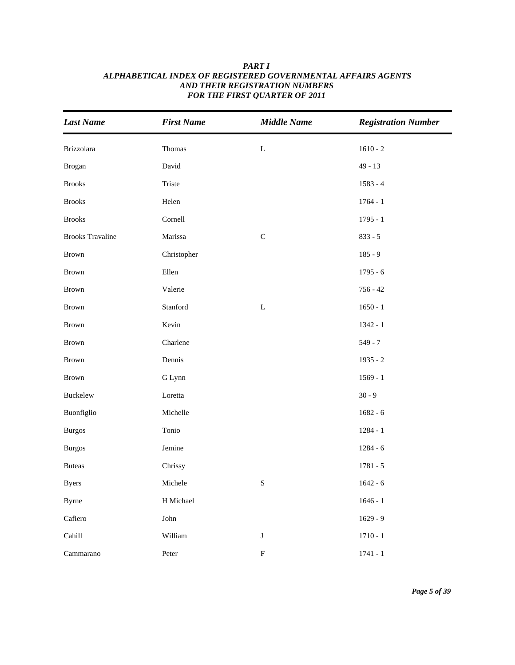| <b>Last Name</b>        | <b>First Name</b> | <b>Middle Name</b> | <b>Registration Number</b> |
|-------------------------|-------------------|--------------------|----------------------------|
| Brizzolara              | Thomas            | $\mathbf L$        | $1610 - 2$                 |
| <b>Brogan</b>           | David             |                    | $49 - 13$                  |
| <b>Brooks</b>           | Triste            |                    | $1583 - 4$                 |
| <b>Brooks</b>           | Helen             |                    | $1764 - 1$                 |
| <b>Brooks</b>           | Cornell           |                    | $1795 - 1$                 |
| <b>Brooks Travaline</b> | Marissa           | $\mathsf C$        | $833 - 5$                  |
| Brown                   | Christopher       |                    | $185 - 9$                  |
| Brown                   | Ellen             |                    | $1795 - 6$                 |
| Brown                   | Valerie           |                    | $756 - 42$                 |
| Brown                   | Stanford          | $\mathbf L$        | $1650 - 1$                 |
| Brown                   | Kevin             |                    | $1342 - 1$                 |
| Brown                   | Charlene          |                    | $549 - 7$                  |
| Brown                   | Dennis            |                    | $1935 - 2$                 |
| Brown                   | G Lynn            |                    | $1569 - 1$                 |
| Buckelew                | Loretta           |                    | $30 - 9$                   |
| Buonfiglio              | Michelle          |                    | $1682 - 6$                 |
| <b>Burgos</b>           | Tonio             |                    | $1284 - 1$                 |
| <b>Burgos</b>           | Jemine            |                    | $1284 - 6$                 |
| <b>Buteas</b>           | Chrissy           |                    | $1781 - 5$                 |
| <b>Byers</b>            | Michele           | ${\bf S}$          | $1642 - 6$                 |
| <b>Byrne</b>            | H Michael         |                    | $1646 - 1$                 |
| Cafiero                 | John              |                    | $1629 - 9$                 |
| Cahill                  | William           | $\bf J$            | $1710 - 1$                 |
| Cammarano               | Peter             | ${\bf F}$          | $1741 - 1$                 |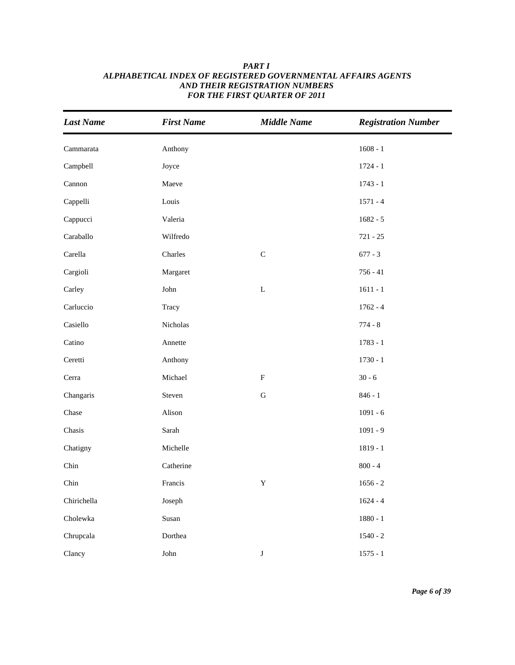| <b>Last Name</b> | <b>First Name</b> | <b>Middle Name</b>        | <b>Registration Number</b> |
|------------------|-------------------|---------------------------|----------------------------|
| Cammarata        | Anthony           |                           | $1608 - 1$                 |
| Campbell         | Joyce             |                           | $1724 - 1$                 |
| Cannon           | Maeve             |                           | $1743 - 1$                 |
| Cappelli         | Louis             |                           | $1571 - 4$                 |
| Cappucci         | Valeria           |                           | $1682 - 5$                 |
| Caraballo        | Wilfredo          |                           | $721 - 25$                 |
| Carella          | Charles           | $\mathbf C$               | $677 - 3$                  |
| Cargioli         | Margaret          |                           | $756 - 41$                 |
| Carley           | John              | $\mathbf L$               | $1611 - 1$                 |
| Carluccio        | Tracy             |                           | $1762 - 4$                 |
| Casiello         | Nicholas          |                           | $774 - 8$                  |
| Catino           | Annette           |                           | $1783 - 1$                 |
| Ceretti          | Anthony           |                           | $1730 - 1$                 |
| Cerra            | Michael           | $\boldsymbol{\mathrm{F}}$ | $30 - 6$                   |
| Changaris        | Steven            | ${\bf G}$                 | $846 - 1$                  |
| Chase            | Alison            |                           | $1091 - 6$                 |
| Chasis           | Sarah             |                           | $1091 - 9$                 |
| Chatigny         | Michelle          |                           | $1819 - 1$                 |
| Chin             | Catherine         |                           | $800 - 4$                  |
| Chin             | Francis           | $\mathbf Y$               | $1656 - 2$                 |
| Chirichella      | Joseph            |                           | $1624 - 4$                 |
| Cholewka         | Susan             |                           | $1880 - 1$                 |
| Chrupcala        | Dorthea           |                           | $1540 - 2$                 |
| Clancy           | John              | $\bf J$                   | $1575 - 1$                 |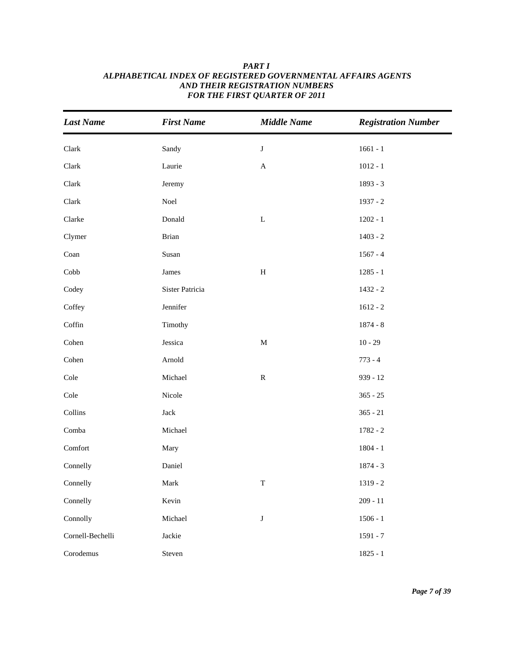| <b>Last Name</b> | <b>First Name</b> | <b>Middle Name</b>        | <b>Registration Number</b> |
|------------------|-------------------|---------------------------|----------------------------|
| Clark            | Sandy             | $\bf J$                   | $1661 - 1$                 |
| ${\rm Clark}$    | Laurie            | $\boldsymbol{\mathsf{A}}$ | $1012 - 1$                 |
| Clark            | Jeremy            |                           | 1893 - 3                   |
| ${\rm Clark}$    | Noel              |                           | $1937 - 2$                 |
| Clarke           | Donald            | $\mathbf L$               | $1202 - 1$                 |
| Clymer           | <b>Brian</b>      |                           | $1403 - 2$                 |
| Coan             | Susan             |                           | $1567 - 4$                 |
| ${\bf Cobb}$     | James             | $\, {\bf H}$              | $1285 - 1$                 |
| Codey            | Sister Patricia   |                           | $1432 - 2$                 |
| Coffey           | Jennifer          |                           | $1612 - 2$                 |
| Coffin           | Timothy           |                           | $1874 - 8$                 |
| Cohen            | Jessica           | $\mathbf M$               | $10 - 29$                  |
| Cohen            | Arnold            |                           | $773 - 4$                  |
| Cole             | Michael           | ${\bf R}$                 | $939 - 12$                 |
| Cole             | Nicole            |                           | $365 - 25$                 |
| Collins          | $\rm Jack$        |                           | $365 - 21$                 |
| Comba            | Michael           |                           | $1782 - 2$                 |
| Comfort          | Mary              |                           | $1804 - 1$                 |
| Connelly         | Daniel            |                           | $1874 - 3$                 |
| Connelly         | Mark              | $\mathbf T$               | $1319 - 2$                 |
| Connelly         | Kevin             |                           | $209 - 11$                 |
| Connolly         | Michael           | $\bf J$                   | $1506 - 1$                 |
| Cornell-Bechelli | Jackie            |                           | $1591 - 7$                 |
| Corodemus        | Steven            |                           | $1825 - 1$                 |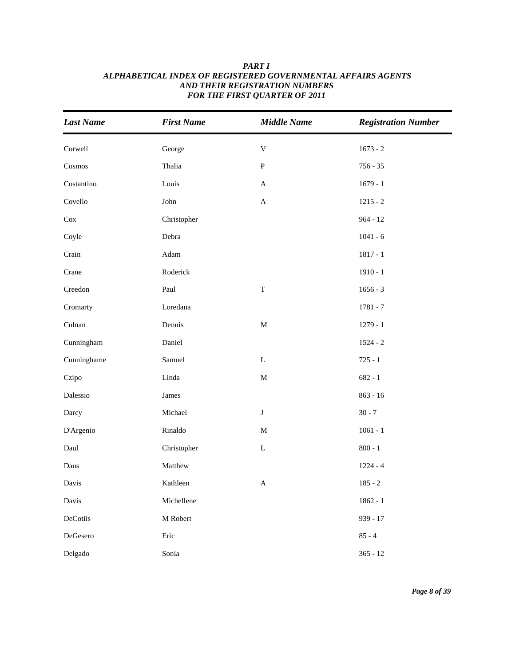| <b>Last Name</b> | <b>First Name</b>     | <b>Middle Name</b> | <b>Registration Number</b> |
|------------------|-----------------------|--------------------|----------------------------|
| Corwell          | George                | $\mathbf V$        | $1673 - 2$                 |
| Cosmos           | Thalia                | ${\bf P}$          | $756 - 35$                 |
| Costantino       | Louis                 | $\mathbf{A}$       | $1679 - 1$                 |
| Covello          | ${\rm John}$          | $\mathbf A$        | $1215 - 2$                 |
| $\cos$           | Christopher           |                    | $964 - 12$                 |
| Coyle            | Debra                 |                    | $1041 - 6$                 |
| Crain            | $\operatorname{Adam}$ |                    | $1817 - 1$                 |
| Crane            | Roderick              |                    | $1910 - 1$                 |
| Creedon          | Paul                  | $\mathbf T$        | $1656 - 3$                 |
| Cromarty         | Loredana              |                    | $1781 - 7$                 |
| Culnan           | Dennis                | $\mathbf M$        | $1279 - 1$                 |
| Cunningham       | Daniel                |                    | $1524 - 2$                 |
| Cunninghame      | Samuel                | L                  | $725 - 1$                  |
| Czipo            | Linda                 | $\mathbf M$        | $682 - 1$                  |
| Dalessio         | James                 |                    | $863 - 16$                 |
| Darcy            | Michael               | $\bf J$            | $30 - 7$                   |
| D'Argenio        | Rinaldo               | $\mathbf M$        | $1061 - 1$                 |
| Daul             | Christopher           | $\mathbf L$        | $800 - 1$                  |
| Daus             | Matthew               |                    | $1224 - 4$                 |
| Davis            | Kathleen              | A                  | $185 - 2$                  |
| Davis            | Michellene            |                    | $1862 - 1$                 |
| DeCotiis         | M Robert              |                    | 939 - 17                   |
| DeGesero         | Eric                  |                    | $85 - 4$                   |
| Delgado          | Sonia                 |                    | $365 - 12$                 |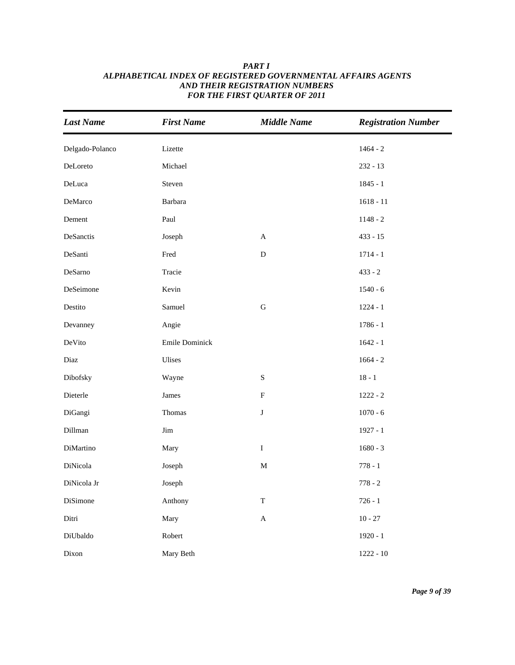| <b>Last Name</b> | <b>First Name</b> | <b>Middle Name</b>        | <b>Registration Number</b> |
|------------------|-------------------|---------------------------|----------------------------|
| Delgado-Polanco  | Lizette           |                           | $1464 - 2$                 |
| DeLoreto         | Michael           |                           | $232 - 13$                 |
| DeLuca           | Steven            |                           | $1845 - 1$                 |
| DeMarco          | Barbara           |                           | $1618 - 11$                |
| Dement           | Paul              |                           | $1148 - 2$                 |
| DeSanctis        | Joseph            | $\mathbf{A}$              | $433 - 15$                 |
| DeSanti          | Fred              | ${\bf D}$                 | $1714 - 1$                 |
| DeSarno          | Tracie            |                           | $433 - 2$                  |
| DeSeimone        | Kevin             |                           | $1540 - 6$                 |
| Destito          | Samuel            | ${\bf G}$                 | $1224 - 1$                 |
| Devanney         | Angie             |                           | $1786 - 1$                 |
| DeVito           | Emile Dominick    |                           | $1642 - 1$                 |
| Diaz             | Ulises            |                           | $1664 - 2$                 |
| Dibofsky         | Wayne             | ${\bf S}$                 | $18 - 1$                   |
| Dieterle         | James             | $\boldsymbol{\mathrm{F}}$ | $1222 - 2$                 |
| DiGangi          | Thomas            | $\bf J$                   | $1070 - 6$                 |
| Dillman          | Jim               |                           | $1927 - 1$                 |
| DiMartino        | Mary              | $\bf I$                   | $1680 - 3$                 |
| DiNicola         | Joseph            | $\mathbf M$               | $778 - 1$                  |
| DiNicola Jr      | Joseph            |                           | $778 - 2$                  |
| DiSimone         | Anthony           | $\mathbf T$               | $726 - 1$                  |
| Ditri            | Mary              | $\mathbf A$               | $10 - 27$                  |
| DiUbaldo         | Robert            |                           | $1920 - 1$                 |
| Dixon            | Mary Beth         |                           | $1222 - 10$                |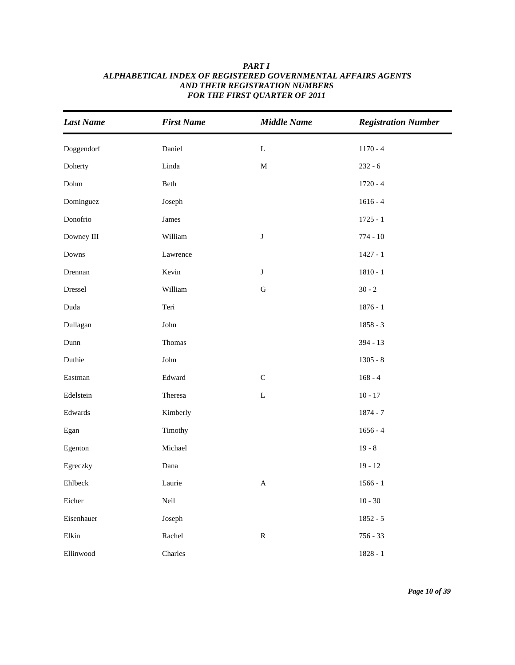| <b>Last Name</b>             | <b>First Name</b> | <b>Middle Name</b>        | <b>Registration Number</b> |
|------------------------------|-------------------|---------------------------|----------------------------|
| Doggendorf                   | Daniel            | $\mathbf L$               | $1170 - 4$                 |
| Doherty                      | Linda             | $\mathbf M$               | $232 - 6$                  |
| $\mathop{\rm Dohm}\nolimits$ | Beth              |                           | $1720 - 4$                 |
| Dominguez                    | Joseph            |                           | $1616 - 4$                 |
| Donofrio                     | James             |                           | $1725 - 1$                 |
| Downey III                   | William           | $\bf J$                   | $774 - 10$                 |
| Downs                        | Lawrence          |                           | $1427 - 1$                 |
| Drennan                      | Kevin             | $\bf J$                   | $1810 - 1$                 |
| Dressel                      | William           | ${\bf G}$                 | $30 - 2$                   |
| Duda                         | Teri              |                           | $1876 - 1$                 |
| Dullagan                     | John              |                           | $1858 - 3$                 |
| Dunn                         | Thomas            |                           | $394 - 13$                 |
| Duthie                       | John              |                           | $1305 - 8$                 |
| Eastman                      | Edward            | ${\bf C}$                 | $168 - 4$                  |
| Edelstein                    | Theresa           | $\mathbf L$               | $10 - 17$                  |
| Edwards                      | Kimberly          |                           | $1874 - 7$                 |
| Egan                         | Timothy           |                           | $1656 - 4$                 |
| Egenton                      | Michael           |                           | $19 - 8$                   |
| Egreczky                     | Dana              |                           | $19 - 12$                  |
| Ehlbeck                      | Laurie            | $\boldsymbol{\mathsf{A}}$ | $1566 - 1$                 |
| Eicher                       | Neil              |                           | $10 - 30$                  |
| Eisenhauer                   | Joseph            |                           | $1852 - 5$                 |
| Elkin                        | Rachel            | ${\bf R}$                 | $756 - 33$                 |
| Ellinwood                    | Charles           |                           | $1828 - 1$                 |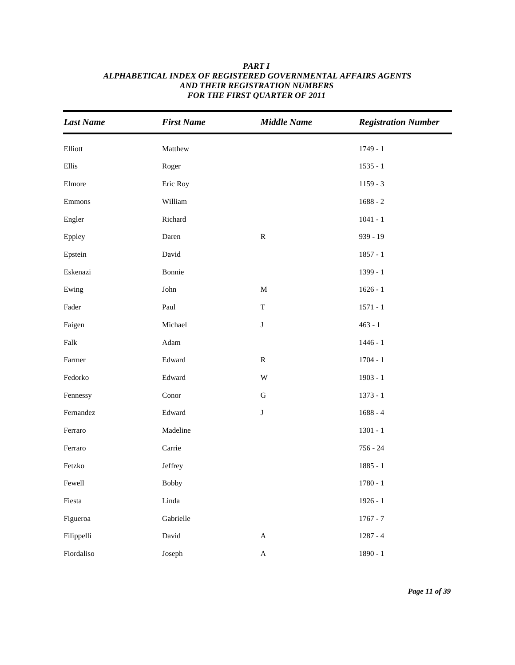| <b>Last Name</b> | <b>First Name</b> | <b>Middle Name</b>      | <b>Registration Number</b> |
|------------------|-------------------|-------------------------|----------------------------|
| Elliott          | Matthew           |                         | $1749 - 1$                 |
| Ellis            | Roger             |                         | $1535 - 1$                 |
| Elmore           | Eric Roy          |                         | $1159 - 3$                 |
| Emmons           | William           |                         | $1688 - 2$                 |
| Engler           | Richard           |                         | $1041 - 1$                 |
| Eppley           | Daren             | ${\bf R}$               | 939 - 19                   |
| Epstein          | David             |                         | $1857 - 1$                 |
| Eskenazi         | Bonnie            |                         | 1399 - 1                   |
| Ewing            | John              | $\mathbf M$             | $1626 - 1$                 |
| Fader            | Paul              | $\mathbf T$             | $1571 - 1$                 |
| Faigen           | Michael           | $\bf J$                 | $463 - 1$                  |
| Falk             | Adam              |                         | $1446 - 1$                 |
| Farmer           | Edward            | ${\bf R}$               | $1704 - 1$                 |
| Fedorko          | Edward            | $\ensuremath{\text{W}}$ | $1903 - 1$                 |
| Fennessy         | Conor             | ${\bf G}$               | $1373 - 1$                 |
| Fernandez        | Edward            | J                       | $1688 - 4$                 |
| Ferraro          | Madeline          |                         | $1301 - 1$                 |
| Ferraro          | Carrie            |                         | $756 - 24$                 |
| Fetzko           | Jeffrey           |                         | $1885 - 1$                 |
| Fewell           | <b>Bobby</b>      |                         | $1780 - 1$                 |
| Fiesta           | $\rm{Linda}$      |                         | $1926 - 1$                 |
| Figueroa         | Gabrielle         |                         | $1767 - 7$                 |
| Filippelli       | David             | $\mathbf A$             | $1287 - 4$                 |
| Fiordaliso       | Joseph            | $\mathbf A$             | $1890 - 1$                 |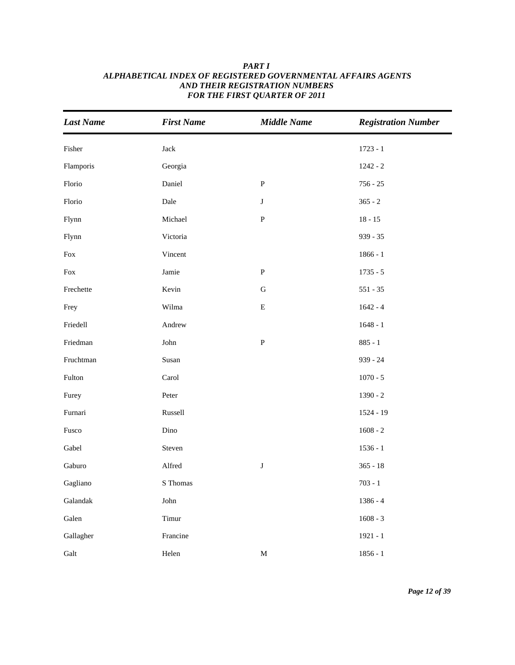| <b>Last Name</b> | <b>First Name</b> | <b>Middle Name</b> | <b>Registration Number</b> |
|------------------|-------------------|--------------------|----------------------------|
| Fisher           | ${\rm Jack}$      |                    | $1723 - 1$                 |
| Flamporis        | Georgia           |                    | $1242 - 2$                 |
| Florio           | Daniel            | ${\bf P}$          | $756 - 25$                 |
| Florio           | Dale              | $\bf J$            | $365 - 2$                  |
| Flynn            | Michael           | $\, {\bf P}$       | $18 - 15$                  |
| Flynn            | Victoria          |                    | $939 - 35$                 |
| Fox              | Vincent           |                    | $1866 - 1$                 |
| Fox              | Jamie             | ${\bf P}$          | $1735 - 5$                 |
| Frechette        | Kevin             | ${\bf G}$          | $551 - 35$                 |
| Frey             | Wilma             | ${\bf E}$          | $1642 - 4$                 |
| Friedell         | Andrew            |                    | $1648 - 1$                 |
| Friedman         | John              | ${\bf P}$          | $885 - 1$                  |
| Fruchtman        | Susan             |                    | $939 - 24$                 |
| Fulton           | Carol             |                    | $1070 - 5$                 |
| Furey            | Peter             |                    | $1390 - 2$                 |
| Furnari          | Russell           |                    | 1524 - 19                  |
| Fusco            | Dino              |                    | $1608 - 2$                 |
| Gabel            | Steven            |                    | $1536 - 1$                 |
| Gaburo           | Alfred            | $\mathbf J$        | $365 - 18$                 |
| Gagliano         | S Thomas          |                    | $703 - 1$                  |
| Galandak         | ${\rm John}$      |                    | $1386 - 4$                 |
| Galen            | Timur             |                    | $1608 - 3$                 |
| Gallagher        | Francine          |                    | $1921 - 1$                 |
| Galt             | Helen             | $\mathbf M$        | $1856 - 1$                 |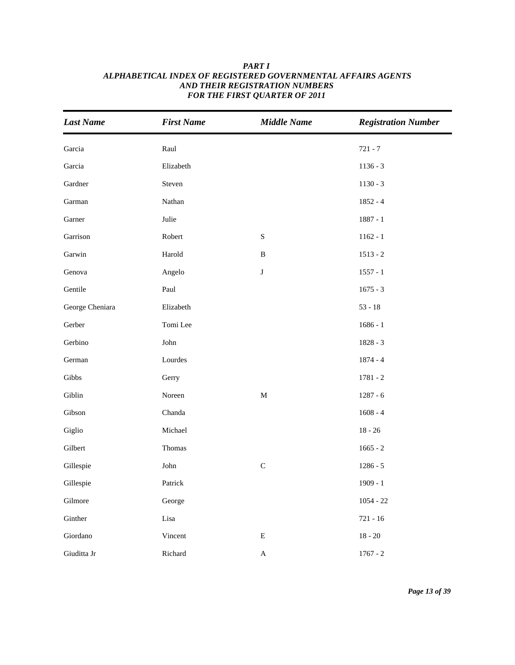| <b>Last Name</b> | <b>First Name</b> | <b>Middle Name</b> | <b>Registration Number</b> |
|------------------|-------------------|--------------------|----------------------------|
| Garcia           | Raul              |                    | $721 - 7$                  |
| Garcia           | Elizabeth         |                    | $1136 - 3$                 |
| Gardner          | Steven            |                    | $1130 - 3$                 |
| Garman           | Nathan            |                    | $1852 - 4$                 |
| Garner           | Julie             |                    | $1887 - 1$                 |
| Garrison         | Robert            | ${\bf S}$          | $1162 - 1$                 |
| Garwin           | Harold            | $\, {\bf B}$       | $1513 - 2$                 |
| Genova           | Angelo            | $\bf J$            | $1557 - 1$                 |
| Gentile          | Paul              |                    | $1675 - 3$                 |
| George Cheniara  | Elizabeth         |                    | $53 - 18$                  |
| Gerber           | Tomi Lee          |                    | $1686 - 1$                 |
| Gerbino          | ${\rm John}$      |                    | $1828 - 3$                 |
| German           | Lourdes           |                    | $1874 - 4$                 |
| Gibbs            | Gerry             |                    | $1781 - 2$                 |
| Giblin           | Noreen            | $\mathbf M$        | $1287 - 6$                 |
| Gibson           | Chanda            |                    | $1608 - 4$                 |
| Giglio           | Michael           |                    | $18 - 26$                  |
| Gilbert          | Thomas            |                    | $1665 - 2$                 |
| Gillespie        | ${\rm John}$      | $\mathsf C$        | $1286 - 5$                 |
| Gillespie        | Patrick           |                    | $1909 - 1$                 |
| Gilmore          | George            |                    | $1054 - 22$                |
| Ginther          | Lisa              |                    | $721 - 16$                 |
| Giordano         | Vincent           | ${\bf E}$          | $18 - 20$                  |
| Giuditta Jr      | Richard           | $\mathbf A$        | $1767 - 2$                 |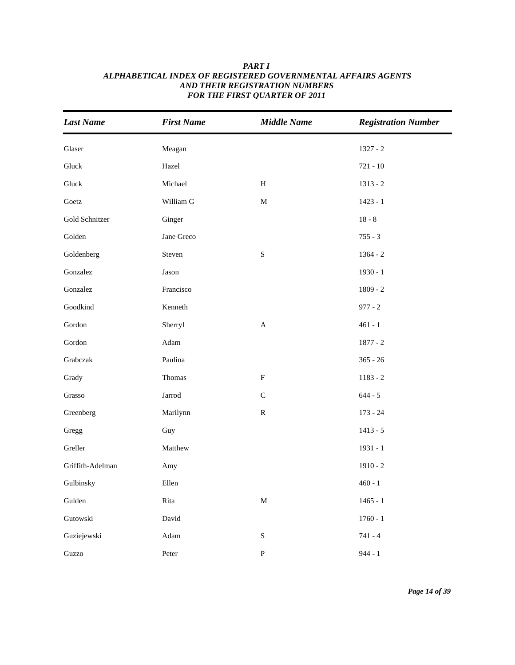| <b>Last Name</b> | <b>First Name</b> | <b>Middle Name</b>        | <b>Registration Number</b> |
|------------------|-------------------|---------------------------|----------------------------|
| Glaser           | Meagan            |                           | $1327 - 2$                 |
| Gluck            | Hazel             |                           | $721 - 10$                 |
| Gluck            | Michael           | $\, {\rm H}$              | $1313 - 2$                 |
| Goetz            | William G         | $\mathbf M$               | $1423 - 1$                 |
| Gold Schnitzer   | Ginger            |                           | $18 - 8$                   |
| Golden           | Jane Greco        |                           | $755 - 3$                  |
| Goldenberg       | Steven            | ${\bf S}$                 | $1364 - 2$                 |
| Gonzalez         | Jason             |                           | $1930 - 1$                 |
| Gonzalez         | Francisco         |                           | $1809 - 2$                 |
| Goodkind         | Kenneth           |                           | $977 - 2$                  |
| Gordon           | Sherryl           | $\boldsymbol{\mathsf{A}}$ | $461 - 1$                  |
| Gordon           | Adam              |                           | $1877 - 2$                 |
| Grabczak         | Paulina           |                           | $365 - 26$                 |
| Grady            | Thomas            | $\boldsymbol{\mathrm{F}}$ | $1183 - 2$                 |
| Grasso           | $\rm Jarrod$      | ${\bf C}$                 | $644 - 5$                  |
| Greenberg        | Marilynn          | ${\bf R}$                 | $173 - 24$                 |
| Gregg            | Guy               |                           | $1413 - 5$                 |
| Greller          | Matthew           |                           | $1931 - 1$                 |
| Griffith-Adelman | Amy               |                           | $1910 - 2$                 |
| Gulbinsky        | Ellen             |                           | $460 - 1$                  |
| Gulden           | Rita              | $\mathbf M$               | $1465 - 1$                 |
| Gutowski         | David             |                           | $1760 - 1$                 |
| Guziejewski      | Adam              | ${\bf S}$                 | $741 - 4$                  |
| Guzzo            | Peter             | ${\bf P}$                 | $944 - 1$                  |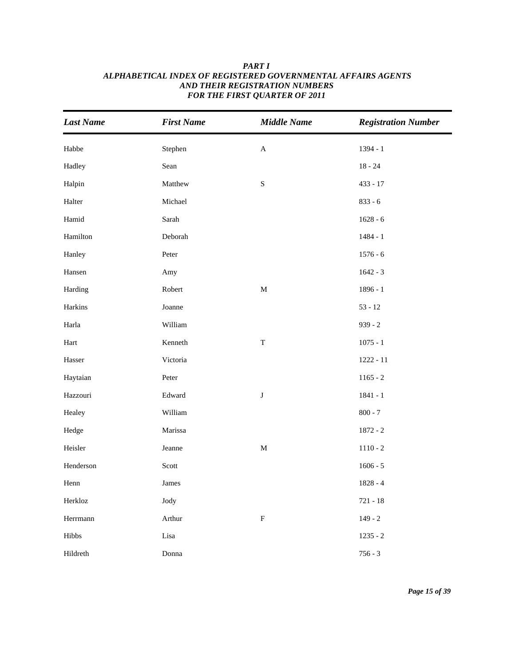| <b>Last Name</b> | <b>First Name</b> | <b>Middle Name</b> | <b>Registration Number</b> |
|------------------|-------------------|--------------------|----------------------------|
| Habbe            | Stephen           | $\mathbf A$        | $1394 - 1$                 |
| Hadley           | Sean              |                    | $18 - 24$                  |
| Halpin           | Matthew           | ${\bf S}$          | $433 - 17$                 |
| Halter           | Michael           |                    | $833 - 6$                  |
| Hamid            | Sarah             |                    | $1628 - 6$                 |
| Hamilton         | Deborah           |                    | $1484 - 1$                 |
| Hanley           | Peter             |                    | $1576 - 6$                 |
| Hansen           | Amy               |                    | $1642 - 3$                 |
| Harding          | Robert            | $\mathbf M$        | $1896 - 1$                 |
| Harkins          | Joanne            |                    | $53 - 12$                  |
| Harla            | William           |                    | $939 - 2$                  |
| Hart             | Kenneth           | $\mathbf T$        | $1075 - 1$                 |
| Hasser           | Victoria          |                    | $1222 - 11$                |
| Haytaian         | Peter             |                    | $1165 - 2$                 |
| Hazzouri         | Edward            | $\bf J$            | $1841 - 1$                 |
| Healey           | William           |                    | $800 - 7$                  |
| Hedge            | Marissa           |                    | $1872 - 2$                 |
| Heisler          | Jeanne            | $\mathbf M$        | $1110 - 2$                 |
| Henderson        | Scott             |                    | $1606 - 5$                 |
| Henn             | James             |                    | $1828 - 4$                 |
| Herkloz          | Jody              |                    | $721 - 18$                 |
| Herrmann         | Arthur            | ${\bf F}$          | $149 - 2$                  |
| Hibbs            | Lisa              |                    | $1235 - 2$                 |
| Hildreth         | Donna             |                    | $756 - 3$                  |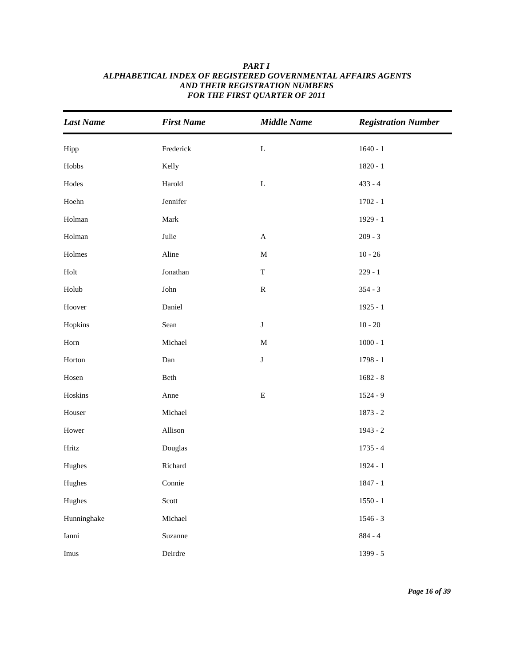| <b>Last Name</b>      | <b>First Name</b> | <b>Middle Name</b>        | <b>Registration Number</b> |
|-----------------------|-------------------|---------------------------|----------------------------|
| Hipp                  | Frederick         | $\mathbf L$               | $1640 - 1$                 |
| Hobbs                 | Kelly             |                           | $1820 - 1$                 |
| $Hodes$               | Harold            | $\mathbf L$               | $433 - 4$                  |
| Hoehn                 | Jennifer          |                           | $1702 - 1$                 |
| Holman                | Mark              |                           | 1929 - 1                   |
| Holman                | Julie             | $\boldsymbol{\mathsf{A}}$ | $209 - 3$                  |
| Holmes                | Aline             | $\mathbf M$               | $10 - 26$                  |
| Holt                  | Jonathan          | $\mathbf T$               | $229 - 1$                  |
| Holub                 | John              | ${\bf R}$                 | $354 - 3$                  |
| Hoover                | Daniel            |                           | $1925 - 1$                 |
| Hopkins               | Sean              | $\bf J$                   | $10 - 20$                  |
| $\operatorname{Horn}$ | Michael           | $\mathbf M$               | $1000 - 1$                 |
| Horton                | Dan               | $\bf J$                   | $1798 - 1$                 |
| Hosen                 | Beth              |                           | $1682 - 8$                 |
| Hoskins               | Anne              | ${\bf E}$                 | $1524 - 9$                 |
| Houser                | Michael           |                           | $1873 - 2$                 |
| Hower                 | Allison           |                           | 1943 - 2                   |
| Hritz                 | Douglas           |                           | $1735 - 4$                 |
| Hughes                | Richard           |                           | $1924 - 1$                 |
| Hughes                | Connie            |                           | $1847 - 1$                 |
| Hughes                | Scott             |                           | $1550 - 1$                 |
| Hunninghake           | Michael           |                           | $1546 - 3$                 |
| Ianni                 | Suzanne           |                           | $884 - 4$                  |
| Imus                  | Deirdre           |                           | 1399 - 5                   |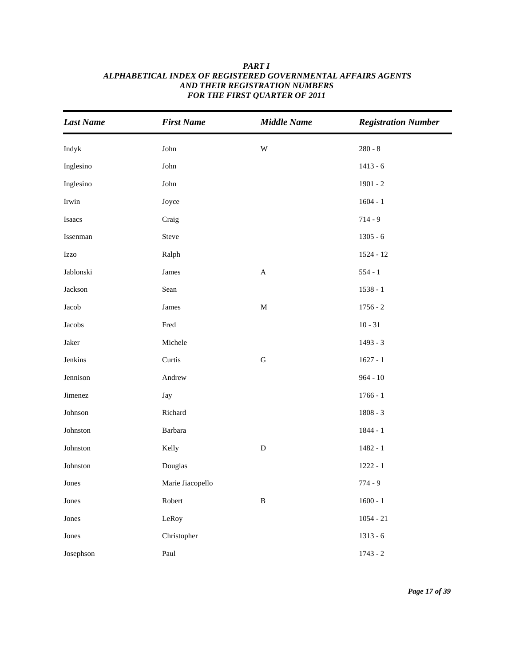| <b>Last Name</b> | <b>First Name</b> | <b>Middle Name</b>      | <b>Registration Number</b> |
|------------------|-------------------|-------------------------|----------------------------|
| Indyk            | ${\rm John}$      | $\ensuremath{\text{W}}$ | $280 - 8$                  |
| Inglesino        | ${\rm John}$      |                         | $1413 - 6$                 |
| Inglesino        | ${\rm John}$      |                         | $1901 - 2$                 |
| Irwin            | Joyce             |                         | $1604 - 1$                 |
| Isaacs           | Craig             |                         | $714 - 9$                  |
| Issenman         | Steve             |                         | $1305 - 6$                 |
| Izzo             | Ralph             |                         | 1524 - 12                  |
| Jablonski        | James             | $\mathbf A$             | $554 - 1$                  |
| Jackson          | Sean              |                         | $1538 - 1$                 |
| Jacob            | James             | $\mathbf M$             | $1756 - 2$                 |
| Jacobs           | Fred              |                         | $10 - 31$                  |
| Jaker            | Michele           |                         | 1493 - 3                   |
| Jenkins          | Curtis            | ${\bf G}$               | $1627 - 1$                 |
| Jennison         | Andrew            |                         | $964 - 10$                 |
| Jimenez          | Jay               |                         | $1766 - 1$                 |
| Johnson          | Richard           |                         | $1808 - 3$                 |
| Johnston         | Barbara           |                         | $1844 - 1$                 |
| Johnston         | Kelly             | ${\bf D}$               | 1482 - 1                   |
| ${\rm Johnston}$ | Douglas           |                         | $1222 - 1$                 |
| Jones            | Marie Jiacopello  |                         | $774 - 9$                  |
| Jones            | Robert            | $\, {\bf B}$            | $1600 - 1$                 |
| Jones            | LeRoy             |                         | $1054 - 21$                |
| Jones            | Christopher       |                         | $1313 - 6$                 |
| Josephson        | Paul              |                         | $1743 - 2$                 |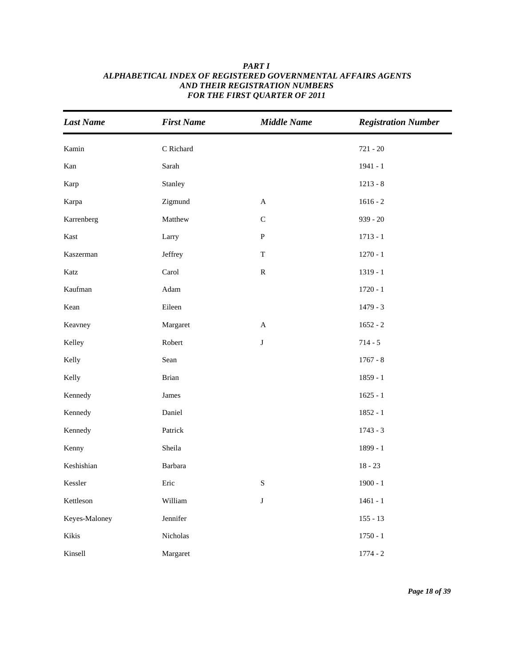| <b>Last Name</b> | <b>First Name</b> | <b>Middle Name</b> | <b>Registration Number</b> |
|------------------|-------------------|--------------------|----------------------------|
| Kamin            | C Richard         |                    | $721 - 20$                 |
| Kan              | Sarah             |                    | $1941 - 1$                 |
| Karp             | Stanley           |                    | $1213 - 8$                 |
| Karpa            | Zigmund           | $\mathbf A$        | $1616 - 2$                 |
| Karrenberg       | Matthew           | $\mathsf C$        | $939 - 20$                 |
| Kast             | Larry             | ${\bf P}$          | $1713 - 1$                 |
| Kaszerman        | Jeffrey           | $\mathbf T$        | $1270 - 1$                 |
| Katz             | Carol             | ${\bf R}$          | $1319 - 1$                 |
| Kaufman          | Adam              |                    | $1720 - 1$                 |
| Kean             | Eileen            |                    | $1479 - 3$                 |
| Keavney          | Margaret          | $\mathbf A$        | $1652 - 2$                 |
| Kelley           | Robert            | $\bf J$            | $714 - 5$                  |
| Kelly            | Sean              |                    | $1767 - 8$                 |
| Kelly            | <b>Brian</b>      |                    | $1859 - 1$                 |
| Kennedy          | James             |                    | $1625 - 1$                 |
| Kennedy          | Daniel            |                    | $1852 - 1$                 |
| Kennedy          | Patrick           |                    | $1743 - 3$                 |
| Kenny            | Sheila            |                    | 1899 - 1                   |
| Keshishian       | Barbara           |                    | $18 - 23$                  |
| Kessler          | Eric              | ${\bf S}$          | $1900 - 1$                 |
| Kettleson        | William           | J                  | $1461 - 1$                 |
| Keyes-Maloney    | Jennifer          |                    | $155 - 13$                 |
| Kikis            | Nicholas          |                    | $1750 - 1$                 |

Kinsell Margaret 1774 - 2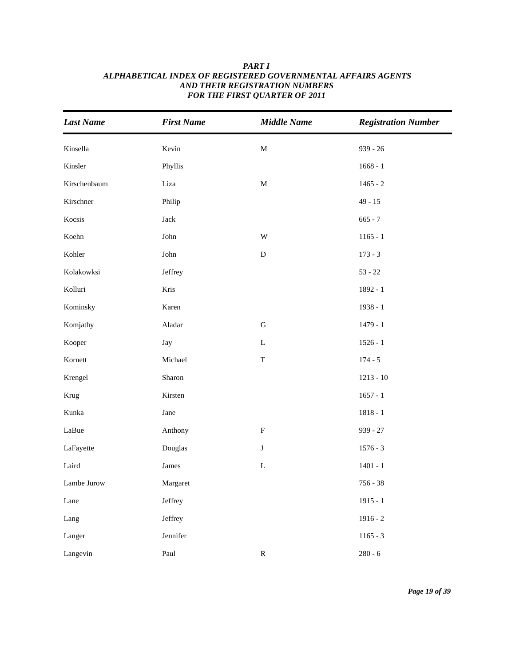| <b>Last Name</b> | <b>First Name</b> | <b>Middle Name</b>        | <b>Registration Number</b> |
|------------------|-------------------|---------------------------|----------------------------|
| Kinsella         | Kevin             | $\mathbf M$               | $939 - 26$                 |
| Kinsler          | Phyllis           |                           | $1668 - 1$                 |
| Kirschenbaum     | Liza              | $\mathbf M$               | $1465 - 2$                 |
| Kirschner        | Philip            |                           | $49 - 15$                  |
| Kocsis           | Jack              |                           | $665 - 7$                  |
| Koehn            | John              | $\ensuremath{\text{W}}$   | $1165 - 1$                 |
| Kohler           | John              | ${\bf D}$                 | $173 - 3$                  |
| Kolakowksi       | Jeffrey           |                           | $53 - 22$                  |
| Kolluri          | Kris              |                           | 1892 - 1                   |
| Kominsky         | Karen             |                           | 1938 - 1                   |
| Komjathy         | Aladar            | ${\bf G}$                 | $1479 - 1$                 |
| Kooper           | Jay               | $\mathbf L$               | $1526 - 1$                 |
| Kornett          | Michael           | $\mathbf T$               | $174 - 5$                  |
| Krengel          | Sharon            |                           | $1213 - 10$                |
| Krug             | Kirsten           |                           | $1657 - 1$                 |
| Kunka            | Jane              |                           | $1818 - 1$                 |
| LaBue            | Anthony           | $\boldsymbol{\mathrm{F}}$ | $939 - 27$                 |
| LaFayette        | Douglas           | $\bf J$                   | $1576 - 3$                 |
| Laird            | James             | $\mathbf L$               | $1401 - 1$                 |
| Lambe Jurow      | Margaret          |                           | $756 - 38$                 |
| Lane             | Jeffrey           |                           | $1915 - 1$                 |
| Lang             | Jeffrey           |                           | $1916 - 2$                 |
| Langer           | Jennifer          |                           | $1165 - 3$                 |
| Langevin         | Paul              | ${\bf R}$                 | $280 - 6$                  |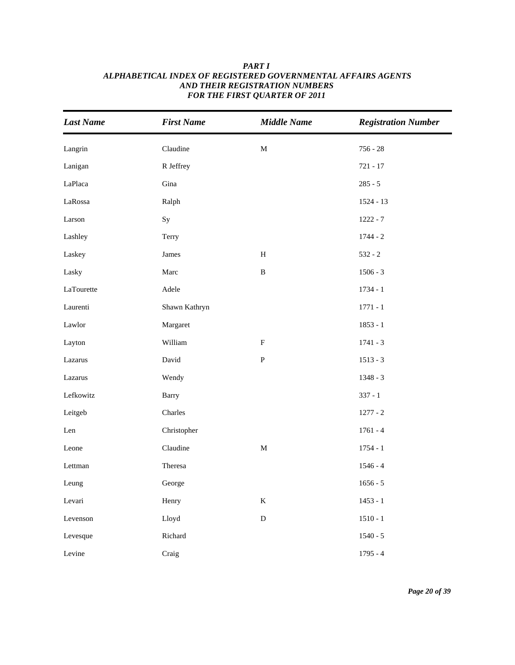| <b>Last Name</b> | <b>First Name</b> | <b>Middle Name</b> | <b>Registration Number</b> |
|------------------|-------------------|--------------------|----------------------------|
| Langrin          | Claudine          | $\mathbf M$        | $756 - 28$                 |
| Lanigan          | R Jeffrey         |                    | $721 - 17$                 |
| LaPlaca          | Gina              |                    | $285 - 5$                  |
| LaRossa          | Ralph             |                    | 1524 - 13                  |
| Larson           | Sy                |                    | $1222 - 7$                 |
| Lashley          | Terry             |                    | $1744 - 2$                 |
| Laskey           | James             | $\, {\rm H}$       | $532 - 2$                  |
| Lasky            | Marc              | $\, {\bf B}$       | $1506 - 3$                 |
| LaTourette       | Adele             |                    | $1734 - 1$                 |
| Laurenti         | Shawn Kathryn     |                    | $1771 - 1$                 |
| Lawlor           | Margaret          |                    | $1853 - 1$                 |
| Layton           | William           | $\mathbf F$        | $1741 - 3$                 |
| Lazarus          | David             | ${\bf P}$          | $1513 - 3$                 |
| Lazarus          | Wendy             |                    | $1348 - 3$                 |
| Lefkowitz        | Barry             |                    | $337 - 1$                  |
| Leitgeb          | Charles           |                    | $1277 - 2$                 |
| Len              | Christopher       |                    | $1761 - 4$                 |
| Leone            | Claudine          | M                  | $1754 - 1$                 |
| Lettman          | Theresa           |                    | $1546 - 4$                 |
| Leung            | George            |                    | $1656 - 5$                 |
| Levari           | Henry             | $\bf K$            | $1453 - 1$                 |
| Levenson         | Lloyd             | $\mathbf D$        | $1510 - 1$                 |
| Levesque         | Richard           |                    | $1540 - 5$                 |
| Levine           | Craig             |                    | $1795 - 4$                 |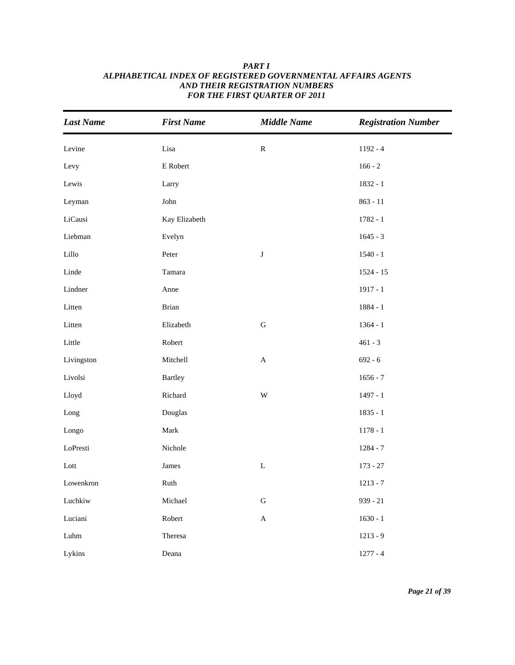| <b>Last Name</b>       | <b>First Name</b> | <b>Middle Name</b>        | <b>Registration Number</b> |
|------------------------|-------------------|---------------------------|----------------------------|
| Levine                 | Lisa              | ${\bf R}$                 | $1192 - 4$                 |
| Levy                   | E Robert          |                           | $166 - 2$                  |
| Lewis                  | Larry             |                           | 1832 - 1                   |
| Leyman                 | John              |                           | $863 - 11$                 |
| LiCausi                | Kay Elizabeth     |                           | $1782 - 1$                 |
| Liebman                | Evelyn            |                           | $1645 - 3$                 |
| $\operatorname{Lillo}$ | Peter             | $\bf J$                   | $1540 - 1$                 |
| Linde                  | Tamara            |                           | $1524 - 15$                |
| Lindner                | Anne              |                           | $1917 - 1$                 |
| Litten                 | <b>Brian</b>      |                           | $1884 - 1$                 |
| Litten                 | Elizabeth         | ${\bf G}$                 | $1364 - 1$                 |
| Little                 | Robert            |                           | $461 - 3$                  |
| Livingston             | Mitchell          | $\boldsymbol{\mathsf{A}}$ | $692 - 6$                  |
| Livolsi                | <b>Bartley</b>    |                           | $1656 - 7$                 |
| Lloyd                  | Richard           | $\ensuremath{\text{W}}$   | $1497 - 1$                 |
| Long                   | Douglas           |                           | $1835 - 1$                 |
| Longo                  | Mark              |                           | $1178 - 1$                 |
| LoPresti               | Nichole           |                           | $1284 - 7$                 |
| Lott                   | James             | $\mathbf L$               | $173 - 27$                 |
| Lowenkron              | Ruth              |                           | $1213 - 7$                 |
| Luchkiw                | Michael           | ${\bf G}$                 | $939 - 21$                 |
| Luciani                | Robert            | $\mathbf A$               | $1630 - 1$                 |
| ${\rm Luhn}$           | Theresa           |                           | $1213 - 9$                 |
| Lykins                 | Deana             |                           | $1277 - 4$                 |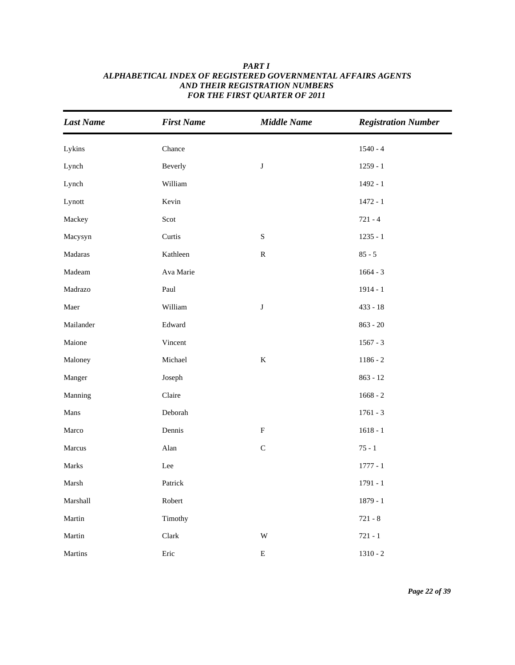| <b>Last Name</b> | <b>First Name</b> | <b>Middle Name</b>      | <b>Registration Number</b> |
|------------------|-------------------|-------------------------|----------------------------|
| Lykins           | Chance            |                         | $1540 - 4$                 |
| Lynch            | Beverly           | $\bf J$                 | $1259 - 1$                 |
| Lynch            | William           |                         | 1492 - 1                   |
| Lynott           | Kevin             |                         | $1472 - 1$                 |
| Mackey           | Scot              |                         | $721 - 4$                  |
| Macysyn          | Curtis            | ${\bf S}$               | $1235 - 1$                 |
| Madaras          | Kathleen          | ${\bf R}$               | $85 - 5$                   |
| Madeam           | Ava Marie         |                         | $1664 - 3$                 |
| Madrazo          | Paul              |                         | $1914 - 1$                 |
| Maer             | William           | $\bf J$                 | $433 - 18$                 |
| Mailander        | Edward            |                         | $863 - 20$                 |
| Maione           | Vincent           |                         | $1567 - 3$                 |
| Maloney          | Michael           | $\bf K$                 | $1186 - 2$                 |
| Manger           | Joseph            |                         | $863 - 12$                 |
| Manning          | Claire            |                         | $1668 - 2$                 |
| Mans             | Deborah           |                         | $1761 - 3$                 |
| Marco            | Dennis            | $\mathbf F$             | $1618 - 1$                 |
| Marcus           | Alan              | $\mathsf C$             | $75 - 1$                   |
| Marks            | Lee               |                         | $1777 - 1$                 |
| Marsh            | Patrick           |                         | $1791 - 1$                 |
| Marshall         | Robert            |                         | $1879 - 1$                 |
| Martin           | Timothy           |                         | $721 - 8$                  |
| Martin           | Clark             | $\ensuremath{\text{W}}$ | $721 - 1$                  |
| Martins          | Eric              | ${\bf E}$               | $1310 - 2$                 |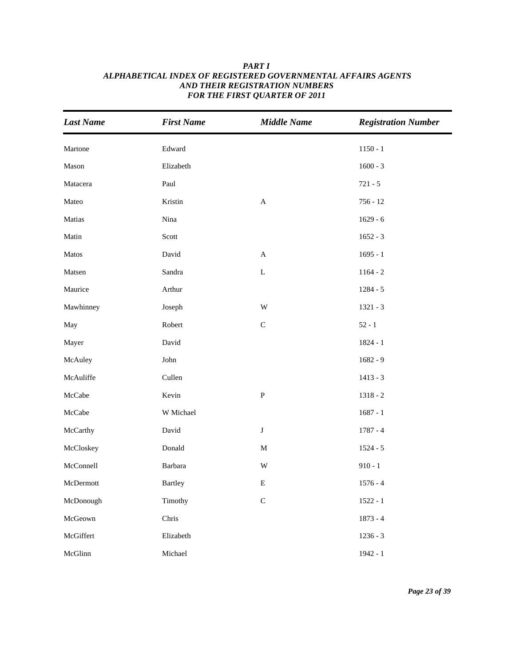| <b>Last Name</b> | <b>First Name</b> | <b>Middle Name</b>      | <b>Registration Number</b> |
|------------------|-------------------|-------------------------|----------------------------|
| Martone          | Edward            |                         | $1150 - 1$                 |
| Mason            | Elizabeth         |                         | $1600 - 3$                 |
| Matacera         | Paul              |                         | $721 - 5$                  |
| Mateo            | Kristin           | $\mathbf{A}$            | $756 - 12$                 |
| Matias           | Nina              |                         | $1629 - 6$                 |
| Matin            | Scott             |                         | $1652 - 3$                 |
| Matos            | David             | $\mathbf{A}$            | $1695 - 1$                 |
| Matsen           | Sandra            | $\mathbf L$             | $1164 - 2$                 |
| Maurice          | Arthur            |                         | $1284 - 5$                 |
| Mawhinney        | Joseph            | W                       | $1321 - 3$                 |
| May              | Robert            | $\mathsf C$             | $52 - 1$                   |
| Mayer            | David             |                         | $1824 - 1$                 |
| McAuley          | John              |                         | $1682 - 9$                 |
| McAuliffe        | Cullen            |                         | $1413 - 3$                 |
| McCabe           | Kevin             | ${\bf P}$               | $1318 - 2$                 |
| McCabe           | W Michael         |                         | $1687 - 1$                 |
| McCarthy         | David             | $\bf J$                 | $1787 - 4$                 |
| McCloskey        | Donald            | $\mathbf M$             | $1524 - 5$                 |
| McConnell        | Barbara           | $\ensuremath{\text{W}}$ | $910 - 1$                  |
| McDermott        | <b>Bartley</b>    | ${\bf E}$               | $1576 - 4$                 |
| McDonough        | Timothy           | $\mathsf C$             | $1522 - 1$                 |
| McGeown          | Chris             |                         | $1873 - 4$                 |
| McGiffert        | Elizabeth         |                         | $1236 - 3$                 |
| McGlinn          | Michael           |                         | $1942 - 1$                 |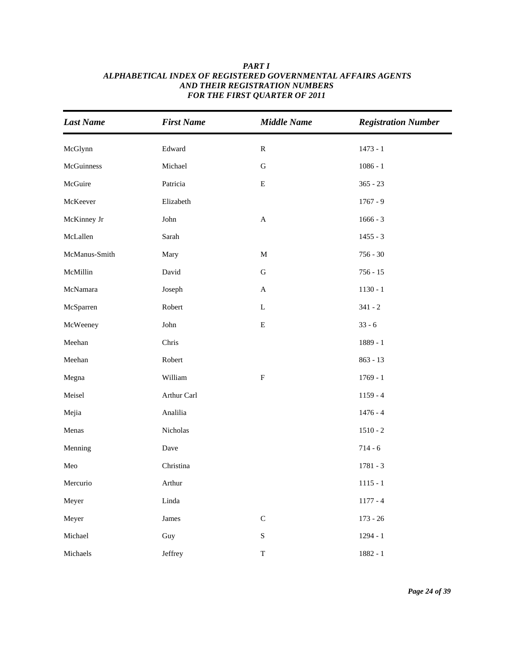| <b>Last Name</b> | <b>First Name</b> | <b>Middle Name</b>        | <b>Registration Number</b> |
|------------------|-------------------|---------------------------|----------------------------|
| McGlynn          | Edward            | ${\bf R}$                 | $1473 - 1$                 |
| McGuinness       | Michael           | ${\bf G}$                 | $1086 - 1$                 |
| McGuire          | Patricia          | ${\bf E}$                 | $365 - 23$                 |
| McKeever         | Elizabeth         |                           | $1767 - 9$                 |
| McKinney Jr      | John              | $\boldsymbol{\mathsf{A}}$ | $1666 - 3$                 |
| McLallen         | Sarah             |                           | $1455 - 3$                 |
| McManus-Smith    | Mary              | $\mathbf M$               | $756 - 30$                 |
| McMillin         | David             | ${\bf G}$                 | $756 - 15$                 |
| McNamara         | Joseph            | $\boldsymbol{\mathsf{A}}$ | $1130 - 1$                 |
| McSparren        | Robert            | ${\bf L}$                 | $341 - 2$                  |
| McWeeney         | John              | ${\bf E}$                 | $33 - 6$                   |
| Meehan           | Chris             |                           | 1889 - 1                   |
| Meehan           | Robert            |                           | $863 - 13$                 |
| Megna            | William           | ${\bf F}$                 | $1769 - 1$                 |
| Meisel           | Arthur Carl       |                           | $1159 - 4$                 |
| Mejia            | Analilia          |                           | $1476 - 4$                 |
| Menas            | Nicholas          |                           | $1510 - 2$                 |
| Menning          | Dave              |                           | $714 - 6$                  |
| Meo              | Christina         |                           | $1781 - 3$                 |
| Mercurio         | Arthur            |                           | $1115 - 1$                 |
| Meyer            | Linda             |                           | $1177 - 4$                 |
| Meyer            | James             | ${\bf C}$                 | $173 - 26$                 |
| Michael          | Guy               | ${\bf S}$                 | $1294 - 1$                 |
| Michaels         | Jeffrey           | $\mathbf T$               | $1882 - 1$                 |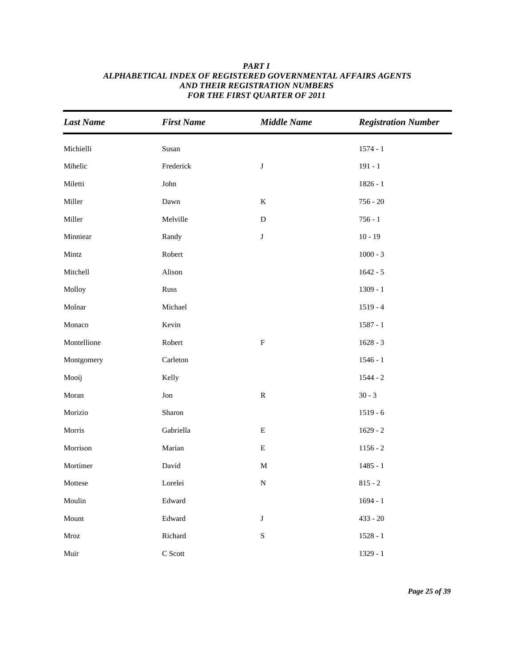| <b>Last Name</b> | <b>First Name</b> | <b>Middle Name</b> | <b>Registration Number</b> |
|------------------|-------------------|--------------------|----------------------------|
| Michielli        | Susan             |                    | $1574 - 1$                 |
| Mihelic          | Frederick         | $\bf J$            | $191 - 1$                  |
| Miletti          | John              |                    | $1826 - 1$                 |
| Miller           | Dawn              | $\bf K$            | $756 - 20$                 |
| Miller           | Melville          | ${\bf D}$          | $756 - 1$                  |
| Minniear         | Randy             | $\bf J$            | $10 - 19$                  |
| Mintz            | Robert            |                    | $1000 - 3$                 |
| Mitchell         | Alison            |                    | $1642 - 5$                 |
| Molloy           | Russ              |                    | $1309 - 1$                 |
| Molnar           | Michael           |                    | $1519 - 4$                 |
| Monaco           | Kevin             |                    | $1587 - 1$                 |
| Montellione      | Robert            | $\mathbf F$        | $1628 - 3$                 |
| Montgomery       | Carleton          |                    | $1546 - 1$                 |
| Mooij            | Kelly             |                    | $1544 - 2$                 |
| Moran            | Jon               | ${\bf R}$          | $30 - 3$                   |
| Morizio          | Sharon            |                    | $1519 - 6$                 |
| Morris           | Gabriella         | ${\bf E}$          | $1629 - 2$                 |
| Morrison         | Marian            | ${\bf E}$          | $1156 - 2$                 |
| Mortimer         | David             | $\mathbf M$        | $1485 - 1$                 |
| Mottese          | Lorelei           | ${\bf N}$          | $815 - 2$                  |
| Moulin           | Edward            |                    | $1694 - 1$                 |
| Mount            | Edward            | $\bf J$            | $433 - 20$                 |
| Mroz             | Richard           | ${\bf S}$          | $1528 - 1$                 |
| Muir             | C Scott           |                    | $1329 - 1$                 |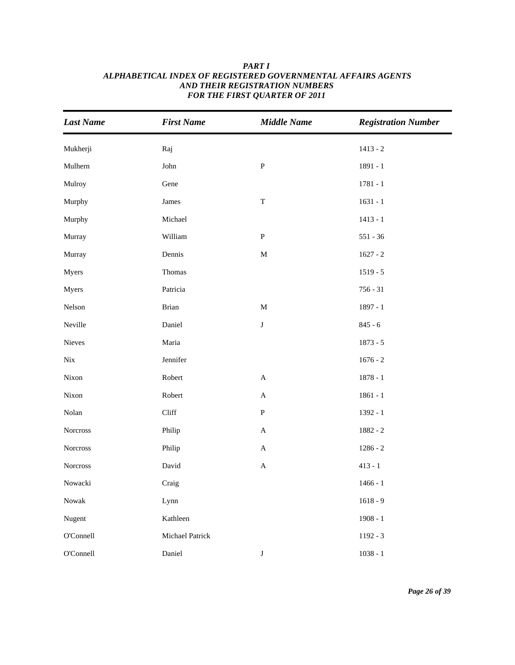| <b>Last Name</b> | <b>First Name</b> | <b>Middle Name</b>        | <b>Registration Number</b> |
|------------------|-------------------|---------------------------|----------------------------|
| Mukherji         | Raj               |                           | $1413 - 2$                 |
| Mulhern          | John              | ${\bf P}$                 | $1891 - 1$                 |
| Mulroy           | Gene              |                           | $1781 - 1$                 |
| Murphy           | James             | $\mathbf T$               | $1631 - 1$                 |
| Murphy           | Michael           |                           | $1413 - 1$                 |
| Murray           | William           | ${\bf P}$                 | $551 - 36$                 |
| Murray           | Dennis            | $\mathbf M$               | $1627 - 2$                 |
| Myers            | Thomas            |                           | $1519 - 5$                 |
| Myers            | Patricia          |                           | $756 - 31$                 |
| Nelson           | Brian             | $\mathbf M$               | $1897 - 1$                 |
| Neville          | Daniel            | $\bf J$                   | $845 - 6$                  |
| Nieves           | Maria             |                           | $1873 - 5$                 |
| Nix              | Jennifer          |                           | $1676 - 2$                 |
| Nixon            | Robert            | $\boldsymbol{\mathsf{A}}$ | $1878 - 1$                 |
| Nixon            | Robert            | $\boldsymbol{\mathsf{A}}$ | $1861 - 1$                 |
| Nolan            | Cliff             | ${\bf P}$                 | 1392 - 1                   |
| Norcross         | Philip            | $\mathbf A$               | 1882 - 2                   |
| Norcross         | Philip            | $\boldsymbol{\mathsf{A}}$ | $1286 - 2$                 |
| Norcross         | David             | $\mathbf A$               | $413 - 1$                  |
| Nowacki          | Craig             |                           | $1466 - 1$                 |
| Nowak            | Lynn              |                           | $1618 - 9$                 |
| Nugent           | Kathleen          |                           | $1908 - 1$                 |
| O'Connell        | Michael Patrick   |                           | $1192 - 3$                 |
| O'Connell        | Daniel            | $\bf J$                   | $1038 - 1$                 |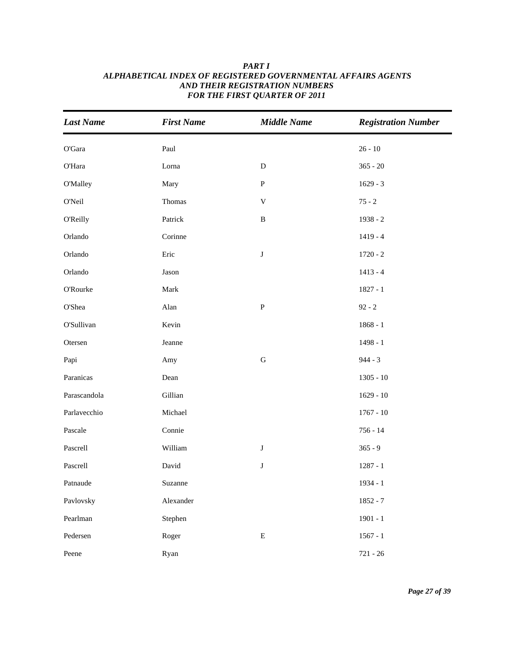| <b>Last Name</b> | <b>First Name</b> | <b>Middle Name</b> | <b>Registration Number</b> |
|------------------|-------------------|--------------------|----------------------------|
| O'Gara           | Paul              |                    | $26 - 10$                  |
| O'Hara           | Lorna             | $\mathbf D$        | $365 - 20$                 |
| <b>O'Malley</b>  | Mary              | $\, {\bf P}$       | $1629 - 3$                 |
| O'Neil           | Thomas            | $\mathbf V$        | $75 - 2$                   |
| O'Reilly         | Patrick           | $\, {\bf B}$       | $1938 - 2$                 |
| Orlando          | Corinne           |                    | $1419 - 4$                 |
| Orlando          | Eric              | $\mathbf J$        | $1720 - 2$                 |
| Orlando          | Jason             |                    | $1413 - 4$                 |
| O'Rourke         | Mark              |                    | $1827 - 1$                 |
| O'Shea           | Alan              | ${\bf P}$          | $92 - 2$                   |
| O'Sullivan       | Kevin             |                    | $1868 - 1$                 |
| Otersen          | Jeanne            |                    | $1498 - 1$                 |
| Papi             | Amy               | ${\bf G}$          | $944 - 3$                  |
| Paranicas        | Dean              |                    | $1305 - 10$                |
| Parascandola     | Gillian           |                    | $1629 - 10$                |
| Parlavecchio     | Michael           |                    | $1767 - 10$                |
| Pascale          | Connie            |                    | $756 - 14$                 |
| Pascrell         | William           | $\bf J$            | $365 - 9$                  |
| Pascrell         | David             | J                  | $1287 - 1$                 |
| Patnaude         | Suzanne           |                    | 1934 - 1                   |
| Pavlovsky        | Alexander         |                    | $1852 - 7$                 |
| Pearlman         | Stephen           |                    | $1901 - 1$                 |
| Pedersen         | Roger             | ${\bf E}$          | $1567 - 1$                 |
| Peene            | Ryan              |                    | $721 - 26$                 |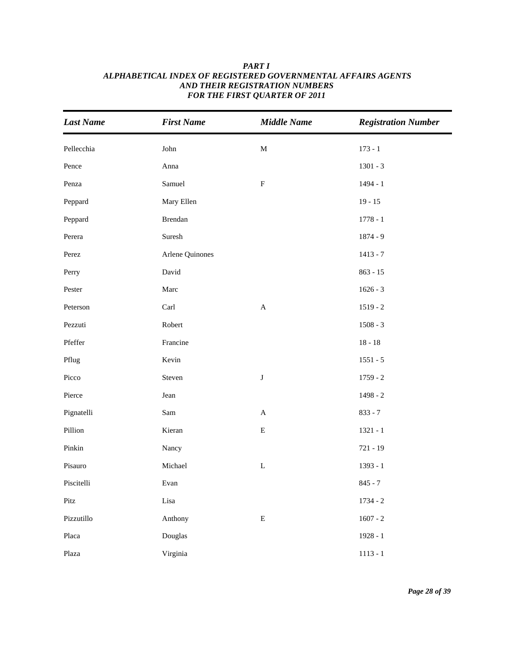| <b>Last Name</b> | <b>First Name</b> | <b>Middle Name</b>        | <b>Registration Number</b> |
|------------------|-------------------|---------------------------|----------------------------|
| Pellecchia       | John              | $\mathbf M$               | $173 - 1$                  |
| Pence            | Anna              |                           | $1301 - 3$                 |
| Penza            | Samuel            | ${\bf F}$                 | $1494 - 1$                 |
| Peppard          | Mary Ellen        |                           | $19 - 15$                  |
| Peppard          | Brendan           |                           | $1778 - 1$                 |
| Perera           | Suresh            |                           | $1874 - 9$                 |
| Perez            | Arlene Quinones   |                           | $1413 - 7$                 |
| Perry            | David             |                           | $863 - 15$                 |
| Pester           | Marc              |                           | $1626 - 3$                 |
| Peterson         | Carl              | $\boldsymbol{A}$          | $1519 - 2$                 |
| Pezzuti          | Robert            |                           | $1508 - 3$                 |
| Pfeffer          | Francine          |                           | $18 - 18$                  |
| Pflug            | Kevin             |                           | $1551 - 5$                 |
| Picco            | Steven            | $\bf J$                   | $1759 - 2$                 |
| Pierce           | Jean              |                           | 1498 - 2                   |
| Pignatelli       | Sam               | $\boldsymbol{\mathsf{A}}$ | $833 - 7$                  |
| Pillion          | Kieran            | $\mathbf E$               | $1321 - 1$                 |
| Pinkin           | Nancy             |                           | $721 - 19$                 |
| Pisauro          | Michael           | $\mathbf L$               | $1393 - 1$                 |
| Piscitelli       | Evan              |                           | $845 - 7$                  |
| Pitz             | Lisa              |                           | $1734 - 2$                 |
| Pizzutillo       | Anthony           | ${\bf E}$                 | $1607 - 2$                 |
| Placa            | Douglas           |                           | $1928 - 1$                 |
| Plaza            | Virginia          |                           | $1113 - 1$                 |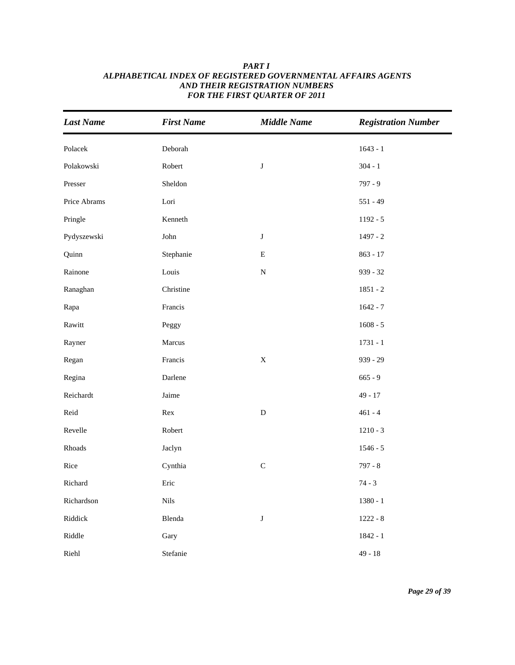| <b>Last Name</b> | <b>First Name</b> | <b>Middle Name</b> | <b>Registration Number</b> |
|------------------|-------------------|--------------------|----------------------------|
| Polacek          | Deborah           |                    | $1643 - 1$                 |
| Polakowski       | Robert            | $\bf J$            | $304 - 1$                  |
| Presser          | Sheldon           |                    | $797 - 9$                  |
| Price Abrams     | Lori              |                    | $551 - 49$                 |
| Pringle          | Kenneth           |                    | $1192 - 5$                 |
| Pydyszewski      | ${\rm John}$      | $\bf J$            | $1497 - 2$                 |
| Quinn            | Stephanie         | ${\bf E}$          | $863 - 17$                 |
| Rainone          | Louis             | $\mathbf N$        | $939 - 32$                 |
| Ranaghan         | Christine         |                    | $1851 - 2$                 |
| Rapa             | Francis           |                    | $1642 - 7$                 |
| Rawitt           | Peggy             |                    | $1608 - 5$                 |
| Rayner           | Marcus            |                    | $1731 - 1$                 |
| Regan            | Francis           | $\mathbf X$        | $939 - 29$                 |
| Regina           | Darlene           |                    | $665 - 9$                  |
| Reichardt        | Jaime             |                    | $49 - 17$                  |
| Reid             | Rex               | ${\bf D}$          | $461 - 4$                  |
| Revelle          | Robert            |                    | $1210 - 3$                 |
| Rhoads           | Jaclyn            |                    | $1546 - 5$                 |
| Rice             | Cynthia           | $\mathsf C$        | $797 - 8$                  |
| Richard          | Eric              |                    | $74 - 3$                   |
| Richardson       | <b>Nils</b>       |                    | $1380 - 1$                 |
| Riddick          | Blenda            | $\bf J$            | $1222 - 8$                 |
| Riddle           | Gary              |                    | $1842 - 1$                 |
| Riehl            | Stefanie          |                    | $49 - 18$                  |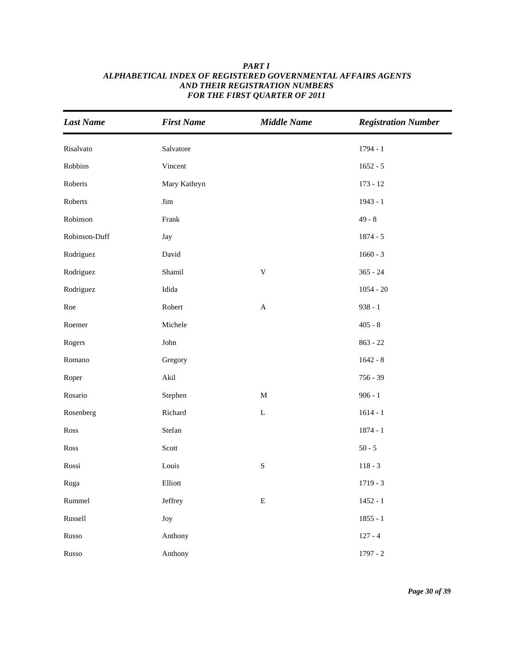| <b>Last Name</b> | <b>First Name</b>     | <b>Middle Name</b> | <b>Registration Number</b> |
|------------------|-----------------------|--------------------|----------------------------|
| Risalvato        | Salvatore             |                    | $1794 - 1$                 |
| Robbins          | Vincent               |                    | $1652 - 5$                 |
| Roberts          | Mary Kathryn          |                    | $173 - 12$                 |
| Roberts          | $\mathop{\text{Jim}}$ |                    | $1943 - 1$                 |
| Robinson         | Frank                 |                    | $49 - 8$                   |
| Robinson-Duff    | Jay                   |                    | $1874 - 5$                 |
| Rodriguez        | David                 |                    | $1660 - 3$                 |
| Rodriguez        | Shamil                | $\mathbf V$        | $365 - 24$                 |
| Rodriguez        | Idida                 |                    | $1054 - 20$                |
| Roe              | Robert                | $\mathbf{A}$       | $938 - 1$                  |
| Roemer           | Michele               |                    | $405 - 8$                  |
| Rogers           | ${\rm John}$          |                    | $863 - 22$                 |
| Romano           | Gregory               |                    | $1642 - 8$                 |
| Roper            | Akil                  |                    | $756 - 39$                 |
| Rosario          | Stephen               | $\mathbf M$        | $906 - 1$                  |
| Rosenberg        | Richard               | $\mathbf L$        | $1614 - 1$                 |
| Ross             | Stefan                |                    | $1874 - 1$                 |
| Ross             | Scott                 |                    | $50 - 5$                   |
| Rossi            | Louis                 | $\mathbf S$        | $118 - 3$                  |
| Ruga             | Elliott               |                    | $1719 - 3$                 |
| Rummel           | Jeffrey               | ${\bf E}$          | $1452 - 1$                 |
| Russell          | Joy                   |                    | $1855 - 1$                 |
| Russo            | Anthony               |                    | $127 - 4$                  |
| Russo            | Anthony               |                    | $1797 - 2$                 |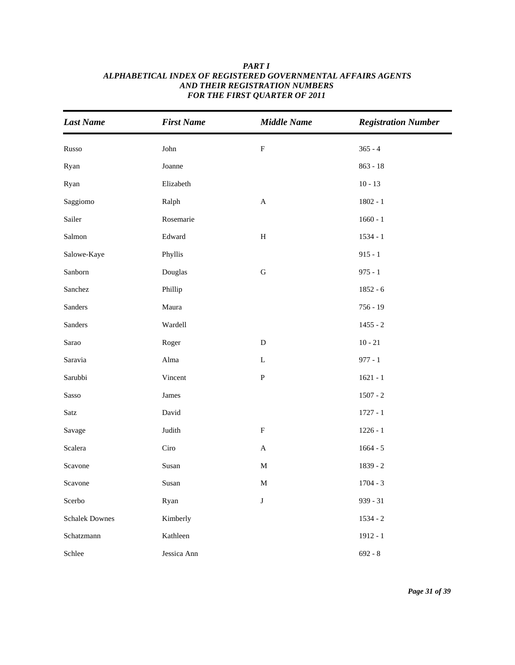| <b>Last Name</b>      | <b>First Name</b> | <b>Middle Name</b> | <b>Registration Number</b> |
|-----------------------|-------------------|--------------------|----------------------------|
| Russo                 | John              | $\mathbf F$        | $365 - 4$                  |
| Ryan                  | Joanne            |                    | $863 - 18$                 |
| Ryan                  | Elizabeth         |                    | $10 - 13$                  |
| Saggiomo              | Ralph             | $\boldsymbol{A}$   | $1802 - 1$                 |
| Sailer                | Rosemarie         |                    | $1660 - 1$                 |
| Salmon                | Edward            | $\, {\rm H}$       | $1534 - 1$                 |
| Salowe-Kaye           | Phyllis           |                    | $915 - 1$                  |
| Sanborn               | Douglas           | ${\bf G}$          | $975 - 1$                  |
| Sanchez               | Phillip           |                    | $1852 - 6$                 |
| Sanders               | Maura             |                    | $756 - 19$                 |
| Sanders               | Wardell           |                    | $1455 - 2$                 |
| Sarao                 | Roger             | ${\bf D}$          | $10 - 21$                  |
| Saravia               | Alma              | ${\bf L}$          | $977 - 1$                  |
| Sarubbi               | Vincent           | $\, {\bf P}$       | $1621 - 1$                 |
| Sasso                 | James             |                    | $1507 - 2$                 |
| Satz                  | David             |                    | $1727 - 1$                 |
| Savage                | Judith            | $\rm F$            | $1226 - 1$                 |
| Scalera               | Ciro              | $\mathbf{A}$       | $1664 - 5$                 |
| Scavone               | Susan             | $\mathbf M$        | 1839 - 2                   |
| Scavone               | Susan             | $\mathbf M$        | $1704 - 3$                 |
| Scerbo                | Ryan              | $\bf J$            | 939 - 31                   |
| <b>Schalek Downes</b> | Kimberly          |                    | $1534 - 2$                 |
| Schatzmann            | Kathleen          |                    | $1912 - 1$                 |
| Schlee                | Jessica Ann       |                    | $692 - 8$                  |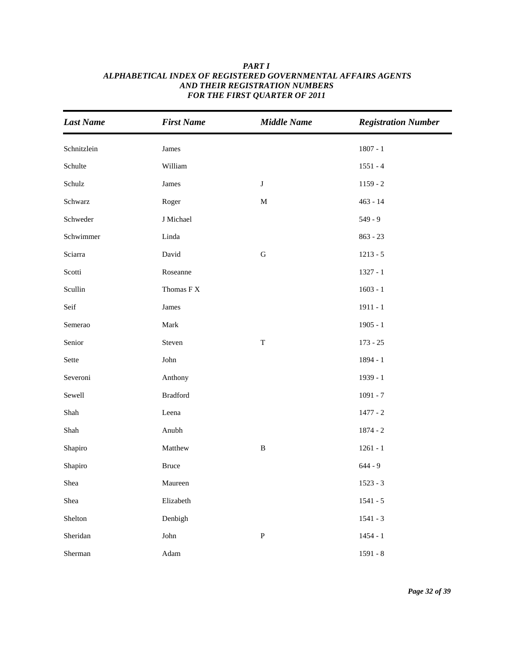| <b>Last Name</b> | <b>First Name</b>                   | <b>Middle Name</b> | <b>Registration Number</b> |
|------------------|-------------------------------------|--------------------|----------------------------|
| Schnitzlein      | James                               |                    | $1807 - 1$                 |
| Schulte          | William                             |                    | $1551 - 4$                 |
| Schulz           | James                               | $\bf J$            | $1159 - 2$                 |
| Schwarz          | Roger                               | $\mathbf M$        | $463 - 14$                 |
| Schweder         | J Michael                           |                    | $549 - 9$                  |
| Schwimmer        | Linda                               |                    | $863 - 23$                 |
| Sciarra          | David                               | ${\bf G}$          | $1213 - 5$                 |
| Scotti           | Roseanne                            |                    | $1327 - 1$                 |
| Scullin          | Thomas $\mathcal{F} \, \mathcal{X}$ |                    | $1603 - 1$                 |
| Seif             | James                               |                    | $1911 - 1$                 |
| Semerao          | Mark                                |                    | $1905 - 1$                 |
| Senior           | Steven                              | $\mathbf T$        | $173 - 25$                 |
| Sette            | John                                |                    | $1894 - 1$                 |
| Severoni         | Anthony                             |                    | 1939 - 1                   |
| Sewell           | <b>Bradford</b>                     |                    | $1091 - 7$                 |
| Shah             | Leena                               |                    | $1477 - 2$                 |
| Shah             | Anubh                               |                    | $1874 - 2$                 |
| Shapiro          | Matthew                             | $\, {\bf B}$       | $1261 - 1$                 |
| Shapiro          | <b>Bruce</b>                        |                    | $644 - 9$                  |
| Shea             | Maureen                             |                    | $1523 - 3$                 |
| Shea             | Elizabeth                           |                    | $1541 - 5$                 |
| Shelton          | Denbigh                             |                    | $1541 - 3$                 |
| Sheridan         | John                                | ${\bf P}$          | $1454 - 1$                 |
| Sherman          | Adam                                |                    | $1591 - 8$                 |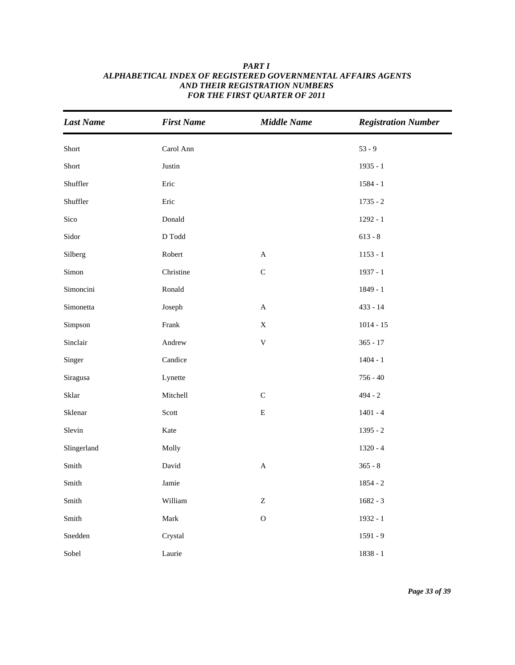| <b>Last Name</b> | <b>First Name</b>                | <b>Middle Name</b>        | <b>Registration Number</b> |
|------------------|----------------------------------|---------------------------|----------------------------|
| Short            | Carol Ann                        |                           | $53 - 9$                   |
| Short            | Justin                           |                           | $1935 - 1$                 |
| Shuffler         | Eric                             |                           | $1584 - 1$                 |
| Shuffler         | Eric                             |                           | $1735 - 2$                 |
| Sico             | Donald                           |                           | $1292 - 1$                 |
| Sidor            | $\operatorname{D}\nolimits$ Todd |                           | $613 - 8$                  |
| Silberg          | Robert                           | $\mathbf{A}$              | $1153 - 1$                 |
| Simon            | Christine                        | $\mathsf C$               | $1937 - 1$                 |
| Simoncini        | Ronald                           |                           | 1849 - 1                   |
| Simonetta        | Joseph                           | $\mathbf{A}$              | $433 - 14$                 |
| Simpson          | Frank                            | $\mathbf X$               | $1014 - 15$                |
| Sinclair         | Andrew                           | $\mathbf V$               | $365 - 17$                 |
| Singer           | Candice                          |                           | $1404 - 1$                 |
| Siragusa         | Lynette                          |                           | $756 - 40$                 |
| Sklar            | Mitchell                         | $\mathsf C$               | $494 - 2$                  |
| Sklenar          | Scott                            | ${\bf E}$                 | $1401 - 4$                 |
| Slevin           | Kate                             |                           | $1395 - 2$                 |
| Slingerland      | Molly                            |                           | $1320 - 4$                 |
| Smith            | David                            | $\mathbf A$               | $365 - 8$                  |
| Smith            | Jamie                            |                           | $1854 - 2$                 |
| ${\rm Smith}$    | William                          | $\ensuremath{\mathbf{Z}}$ | $1682 - 3$                 |
| Smith            | ${\rm Mark}$                     | $\mathcal{O}$             | $1932 - 1$                 |
| Snedden          | Crystal                          |                           | $1591 - 9$                 |
| Sobel            | Laurie                           |                           | $1838 - 1$                 |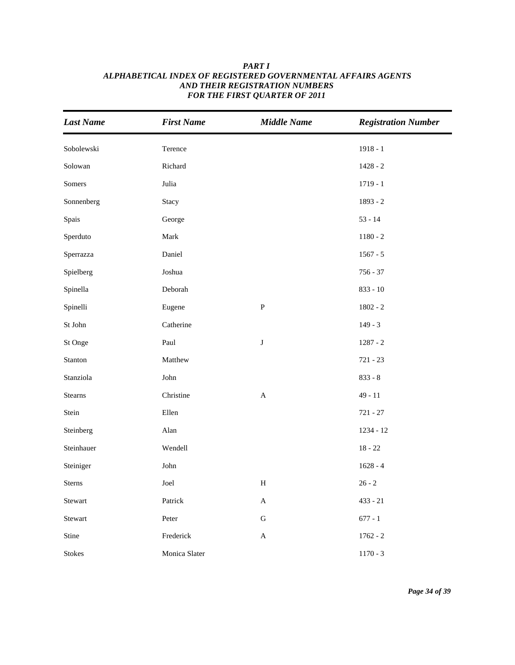| <b>Last Name</b>         | <b>First Name</b> | <b>Middle Name</b>        | <b>Registration Number</b> |
|--------------------------|-------------------|---------------------------|----------------------------|
| Sobolewski               | Terence           |                           | $1918 - 1$                 |
| Solowan                  | Richard           |                           | $1428 - 2$                 |
| Somers                   | Julia             |                           | $1719 - 1$                 |
| Sonnenberg               | Stacy             |                           | $1893 - 2$                 |
| Spais                    | George            |                           | $53 - 14$                  |
| Sperduto                 | Mark              |                           | $1180 - 2$                 |
| Sperrazza                | Daniel            |                           | $1567 - 5$                 |
| Spielberg                | Joshua            |                           | $756 - 37$                 |
| Spinella                 | Deborah           |                           | $833 - 10$                 |
| Spinelli                 | Eugene            | ${\bf P}$                 | $1802 - 2$                 |
| $\operatorname{St}$ John | Catherine         |                           | $149 - 3$                  |
| St Onge                  | Paul              | $\bf J$                   | $1287 - 2$                 |
| Stanton                  | Matthew           |                           | $721 - 23$                 |
| Stanziola                | ${\rm John}$      |                           | $833 - 8$                  |
| Stearns                  | Christine         | $\boldsymbol{\mathsf{A}}$ | $49 - 11$                  |
| Stein                    | Ellen             |                           | $721 - 27$                 |
| Steinberg                | Alan              |                           | 1234 - 12                  |
| Steinhauer               | Wendell           |                           | $18 - 22$                  |
| Steiniger                | ${\rm John}$      |                           | $1628 - 4$                 |
| Sterns                   | Joel              | $\, {\rm H}$              | $26 - 2$                   |
| Stewart                  | Patrick           | $\boldsymbol{\mathsf{A}}$ | $433 - 21$                 |
| Stewart                  | Peter             | ${\bf G}$                 | $677 - 1$                  |
| Stine                    | Frederick         | $\boldsymbol{\mathsf{A}}$ | $1762 - 2$                 |
| <b>Stokes</b>            | Monica Slater     |                           | $1170 - 3$                 |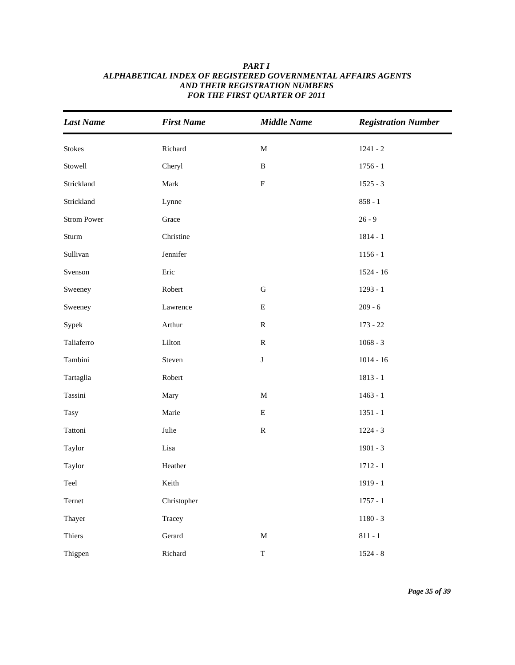# *Last Name First Name Middle Name Registration Number* Stokes Richard M 1241 - 2 Stowell Cheryl B 1756 - 1 Strickland Mark F 1525 - 3 Strickland 858 - 1 Strom Power Grace Grace 26 - 9 Sturm Christine 1814 - 1 Sullivan 1156 - 1 Svenson Eric 1524 - 16 Sweeney Robert G 1293 - 1 Sweeney **Lawrence** E 209 - 6 Sypek **Arthur** R 173 - 22

Taliaferro 1068 - 3

Tambini Steven J 1014 - 16

Tartaglia Robert 1813 - 1

Tassini Mary Mary Mary 1463 - 1

Tasy Marie B E 1351 - 1

Tattoni Julie Julie R 1224 - 3

Taylor **Lisa** 1901 - 3

Taylor **Heather** 1712 - 1

Teel Keith 1919 - 1

Ternet Christopher 1757 - 1

Thayer Tracey Tracey 1180 - 3

Thiers Gerard M 811 - 1

Thigpen Richard T 1524 - 8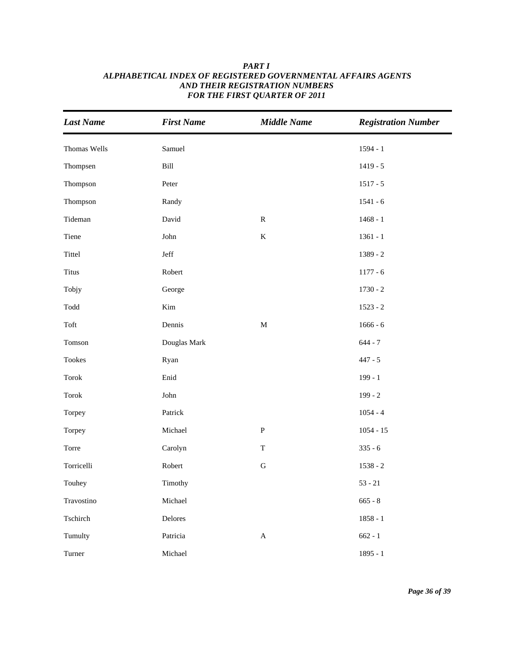| <b>Last Name</b>                | <b>First Name</b>     | <b>Middle Name</b> | <b>Registration Number</b> |
|---------------------------------|-----------------------|--------------------|----------------------------|
| Thomas Wells                    | Samuel                |                    | $1594 - 1$                 |
| Thompsen                        | Bill                  |                    | $1419 - 5$                 |
| Thompson                        | Peter                 |                    | $1517 - 5$                 |
| Thompson                        | Randy                 |                    | $1541 - 6$                 |
| Tideman                         | David                 | ${\bf R}$          | $1468 - 1$                 |
| Tiene                           | John                  | $\bf K$            | $1361 - 1$                 |
| Tittel                          | $\operatorname{Jeff}$ |                    | $1389 - 2$                 |
| Titus                           | Robert                |                    | $1177 - 6$                 |
| Tobjy                           | George                |                    | $1730 - 2$                 |
| $\operatorname{Todd}$           | Kim                   |                    | $1523 - 2$                 |
| Toft                            | Dennis                | $\mathbf M$        | $1666 - 6$                 |
| Tomson                          | Douglas Mark          |                    | $644 - 7$                  |
| Tookes                          | Ryan                  |                    | $447 - 5$                  |
| Torok                           | Enid                  |                    | $199 - 1$                  |
| $\operatorname{\mathsf{Torok}}$ | ${\rm John}$          |                    | $199 - 2$                  |
| Torpey                          | Patrick               |                    | $1054 - 4$                 |
| Torpey                          | Michael               | ${\bf P}$          | $1054 - 15$                |
| Torre                           | Carolyn               | $\mathbf T$        | $335 - 6$                  |
| Torricelli                      | Robert                | ${\bf G}$          | $1538 - 2$                 |
| Touhey                          | Timothy               |                    | $53 - 21$                  |
| Travostino                      | Michael               |                    | $665 - 8$                  |
| Tschirch                        | Delores               |                    | $1858 - 1$                 |
| Tumulty                         | Patricia              | $\mathbf A$        | $662 - 1$                  |
| Turner                          | Michael               |                    | $1895 - 1$                 |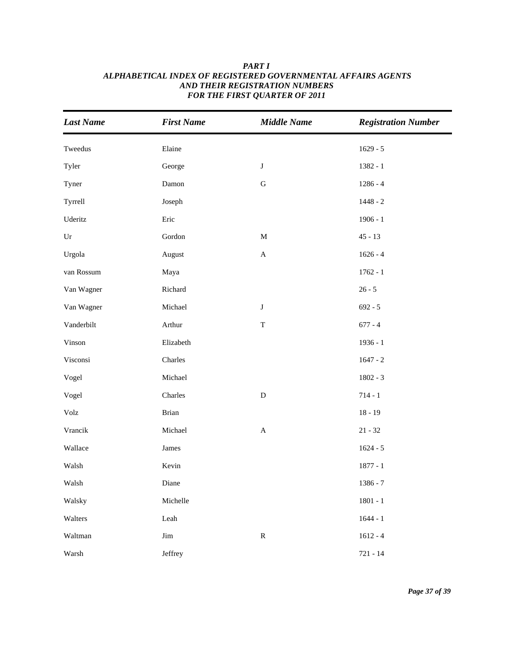| <b>Last Name</b>    | <b>First Name</b>     | <b>Middle Name</b>        | <b>Registration Number</b> |
|---------------------|-----------------------|---------------------------|----------------------------|
| Tweedus             | Elaine                |                           | $1629 - 5$                 |
| Tyler               | George                | $\bf J$                   | $1382 - 1$                 |
| Tyner               | Damon                 | ${\bf G}$                 | $1286 - 4$                 |
| Tyrrell             | Joseph                |                           | $1448 - 2$                 |
| Uderitz             | Eric                  |                           | $1906 - 1$                 |
| $\operatorname{Ur}$ | Gordon                | $\mathbf M$               | $45 - 13$                  |
| Urgola              | August                | $\boldsymbol{\mathsf{A}}$ | $1626 - 4$                 |
| van Rossum          | Maya                  |                           | $1762 - 1$                 |
| Van Wagner          | Richard               |                           | $26 - 5$                   |
| Van Wagner          | Michael               | $\bf J$                   | $692 - 5$                  |
| Vanderbilt          | Arthur                | $\mathbf T$               | $677 - 4$                  |
| Vinson              | Elizabeth             |                           | $1936 - 1$                 |
| Visconsi            | Charles               |                           | $1647 - 2$                 |
| Vogel               | Michael               |                           | $1802 - 3$                 |
| Vogel               | Charles               | D                         | $714 - 1$                  |
| Volz                | Brian                 |                           | $18 - 19$                  |
| Vrancik             | Michael               | $\mathbf{A}$              | $21 - 32$                  |
| Wallace             | James                 |                           | $1624 - 5$                 |
| Walsh               | Kevin                 |                           | $1877 - 1$                 |
| Walsh               | Diane                 |                           | 1386 - 7                   |
| Walsky              | Michelle              |                           | $1801 - 1$                 |
| Walters             | Leah                  |                           | $1644 - 1$                 |
| Waltman             | $\mathop{\text{Jim}}$ | ${\bf R}$                 | $1612 - 4$                 |
| Warsh               | Jeffrey               |                           | $721 - 14$                 |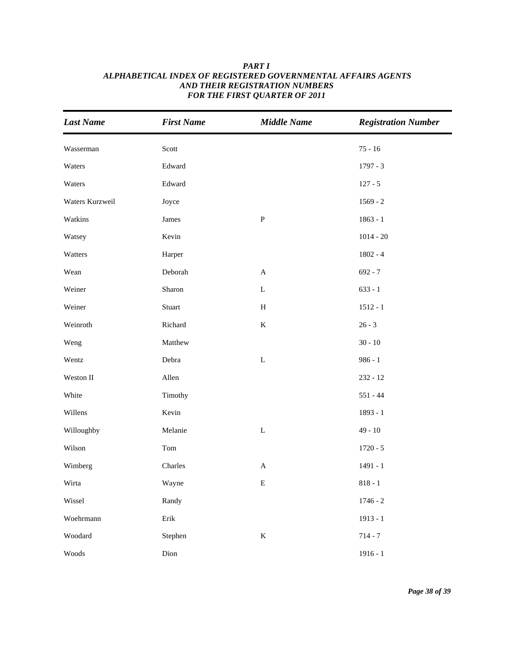| <b>Last Name</b> | <b>First Name</b>     | <b>Middle Name</b>        | <b>Registration Number</b> |
|------------------|-----------------------|---------------------------|----------------------------|
| Wasserman        | Scott                 |                           | $75 - 16$                  |
| Waters           | Edward                |                           | $1797 - 3$                 |
| Waters           | Edward                |                           | $127 - 5$                  |
| Waters Kurzweil  | Joyce                 |                           | $1569 - 2$                 |
| Watkins          | James                 | ${\bf P}$                 | $1863 - 1$                 |
| Watsey           | Kevin                 |                           | $1014 - 20$                |
| Watters          | Harper                |                           | $1802 - 4$                 |
| Wean             | Deborah               | $\boldsymbol{\mathsf{A}}$ | $692 - 7$                  |
| Weiner           | Sharon                | $\mathbf L$               | $633 - 1$                  |
| Weiner           | Stuart                | $\, {\rm H}$              | $1512 - 1$                 |
| Weinroth         | Richard               | $\bf K$                   | $26 - 3$                   |
| Weng             | Matthew               |                           | $30 - 10$                  |
| Wentz            | Debra                 | $\mathbf L$               | $986 - 1$                  |
| Weston II        | Allen                 |                           | $232 - 12$                 |
| White            | Timothy               |                           | $551 - 44$                 |
| Willens          | Kevin                 |                           | 1893 - 1                   |
| Willoughby       | Melanie               | $\mathbf L$               | $49 - 10$                  |
| Wilson           | Tom                   |                           | $1720 - 5$                 |
| Wimberg          | Charles               | $\mathbf{A}$              | $1491 - 1$                 |
| Wirta            | Wayne                 | ${\bf E}$                 | $818 - 1$                  |
| Wissel           | Randy                 |                           | $1746 - 2$                 |
| Woehrmann        | $\operatorname{Erik}$ |                           | $1913 - 1$                 |
| Woodard          | Stephen               | $\bf K$                   | $714 - 7$                  |
| Woods            | Dion                  |                           | $1916 - 1$                 |